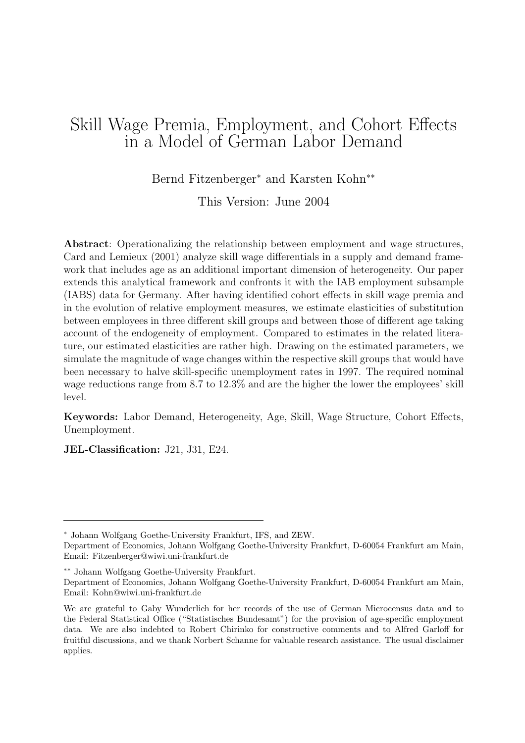# Skill Wage Premia, Employment, and Cohort Effects in a Model of German Labor Demand

Bernd Fitzenberger<sup>∗</sup> and Karsten Kohn∗∗

This Version: June 2004

Abstract: Operationalizing the relationship between employment and wage structures, Card and Lemieux (2001) analyze skill wage differentials in a supply and demand framework that includes age as an additional important dimension of heterogeneity. Our paper extends this analytical framework and confronts it with the IAB employment subsample (IABS) data for Germany. After having identified cohort effects in skill wage premia and in the evolution of relative employment measures, we estimate elasticities of substitution between employees in three different skill groups and between those of different age taking account of the endogeneity of employment. Compared to estimates in the related literature, our estimated elasticities are rather high. Drawing on the estimated parameters, we simulate the magnitude of wage changes within the respective skill groups that would have been necessary to halve skill-specific unemployment rates in 1997. The required nominal wage reductions range from 8.7 to 12.3% and are the higher the lower the employees' skill level.

Keywords: Labor Demand, Heterogeneity, Age, Skill, Wage Structure, Cohort Effects, Unemployment.

JEL-Classification: J21, J31, E24.

<sup>∗</sup> Johann Wolfgang Goethe-University Frankfurt, IFS, and ZEW.

Department of Economics, Johann Wolfgang Goethe-University Frankfurt, D-60054 Frankfurt am Main, Email: Fitzenberger@wiwi.uni-frankfurt.de

<sup>∗∗</sup> Johann Wolfgang Goethe-University Frankfurt.

Department of Economics, Johann Wolfgang Goethe-University Frankfurt, D-60054 Frankfurt am Main, Email: Kohn@wiwi.uni-frankfurt.de

We are grateful to Gaby Wunderlich for her records of the use of German Microcensus data and to the Federal Statistical Office ("Statistisches Bundesamt") for the provision of age-specific employment data. We are also indebted to Robert Chirinko for constructive comments and to Alfred Garloff for fruitful discussions, and we thank Norbert Schanne for valuable research assistance. The usual disclaimer applies.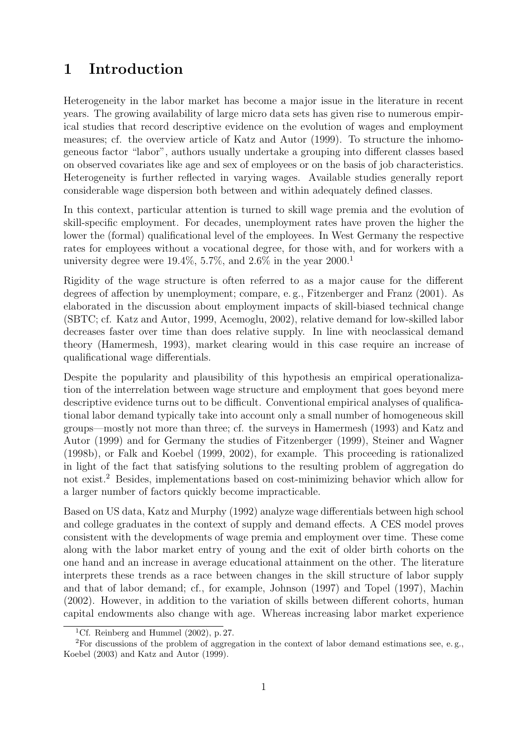# 1 Introduction

Heterogeneity in the labor market has become a major issue in the literature in recent years. The growing availability of large micro data sets has given rise to numerous empirical studies that record descriptive evidence on the evolution of wages and employment measures; cf. the overview article of Katz and Autor (1999). To structure the inhomogeneous factor "labor", authors usually undertake a grouping into different classes based on observed covariates like age and sex of employees or on the basis of job characteristics. Heterogeneity is further reflected in varying wages. Available studies generally report considerable wage dispersion both between and within adequately defined classes.

In this context, particular attention is turned to skill wage premia and the evolution of skill-specific employment. For decades, unemployment rates have proven the higher the lower the (formal) qualificational level of the employees. In West Germany the respective rates for employees without a vocational degree, for those with, and for workers with a university degree were  $19.4\%, 5.7\%,$  and  $2.6\%$  in the year  $2000<sup>1</sup>$ 

Rigidity of the wage structure is often referred to as a major cause for the different degrees of affection by unemployment; compare, e. g., Fitzenberger and Franz (2001). As elaborated in the discussion about employment impacts of skill-biased technical change (SBTC; cf. Katz and Autor, 1999, Acemoglu, 2002), relative demand for low-skilled labor decreases faster over time than does relative supply. In line with neoclassical demand theory (Hamermesh, 1993), market clearing would in this case require an increase of qualificational wage differentials.

Despite the popularity and plausibility of this hypothesis an empirical operationalization of the interrelation between wage structure and employment that goes beyond mere descriptive evidence turns out to be difficult. Conventional empirical analyses of qualificational labor demand typically take into account only a small number of homogeneous skill groups—mostly not more than three; cf. the surveys in Hamermesh (1993) and Katz and Autor (1999) and for Germany the studies of Fitzenberger (1999), Steiner and Wagner (1998b), or Falk and Koebel (1999, 2002), for example. This proceeding is rationalized in light of the fact that satisfying solutions to the resulting problem of aggregation do not exist.<sup>2</sup> Besides, implementations based on cost-minimizing behavior which allow for a larger number of factors quickly become impracticable.

Based on US data, Katz and Murphy (1992) analyze wage differentials between high school and college graduates in the context of supply and demand effects. A CES model proves consistent with the developments of wage premia and employment over time. These come along with the labor market entry of young and the exit of older birth cohorts on the one hand and an increase in average educational attainment on the other. The literature interprets these trends as a race between changes in the skill structure of labor supply and that of labor demand; cf., for example, Johnson (1997) and Topel (1997), Machin (2002). However, in addition to the variation of skills between different cohorts, human capital endowments also change with age. Whereas increasing labor market experience

<sup>&</sup>lt;sup>1</sup>Cf. Reinberg and Hummel  $(2002)$ , p. 27.

 ${}^{2}$ For discussions of the problem of aggregation in the context of labor demand estimations see, e.g., Koebel (2003) and Katz and Autor (1999).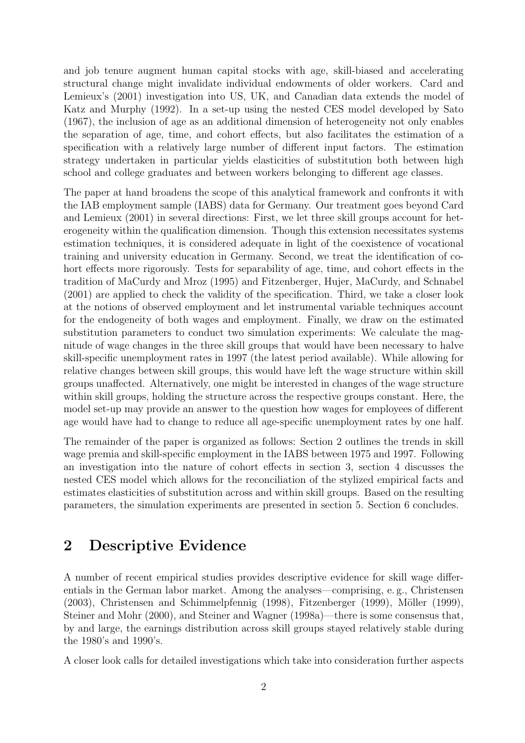and job tenure augment human capital stocks with age, skill-biased and accelerating structural change might invalidate individual endowments of older workers. Card and Lemieux's (2001) investigation into US, UK, and Canadian data extends the model of Katz and Murphy (1992). In a set-up using the nested CES model developed by Sato (1967), the inclusion of age as an additional dimension of heterogeneity not only enables the separation of age, time, and cohort effects, but also facilitates the estimation of a specification with a relatively large number of different input factors. The estimation strategy undertaken in particular yields elasticities of substitution both between high school and college graduates and between workers belonging to different age classes.

The paper at hand broadens the scope of this analytical framework and confronts it with the IAB employment sample (IABS) data for Germany. Our treatment goes beyond Card and Lemieux (2001) in several directions: First, we let three skill groups account for heterogeneity within the qualification dimension. Though this extension necessitates systems estimation techniques, it is considered adequate in light of the coexistence of vocational training and university education in Germany. Second, we treat the identification of cohort effects more rigorously. Tests for separability of age, time, and cohort effects in the tradition of MaCurdy and Mroz (1995) and Fitzenberger, Hujer, MaCurdy, and Schnabel (2001) are applied to check the validity of the specification. Third, we take a closer look at the notions of observed employment and let instrumental variable techniques account for the endogeneity of both wages and employment. Finally, we draw on the estimated substitution parameters to conduct two simulation experiments: We calculate the magnitude of wage changes in the three skill groups that would have been necessary to halve skill-specific unemployment rates in 1997 (the latest period available). While allowing for relative changes between skill groups, this would have left the wage structure within skill groups unaffected. Alternatively, one might be interested in changes of the wage structure within skill groups, holding the structure across the respective groups constant. Here, the model set-up may provide an answer to the question how wages for employees of different age would have had to change to reduce all age-specific unemployment rates by one half.

The remainder of the paper is organized as follows: Section 2 outlines the trends in skill wage premia and skill-specific employment in the IABS between 1975 and 1997. Following an investigation into the nature of cohort effects in section 3, section 4 discusses the nested CES model which allows for the reconciliation of the stylized empirical facts and estimates elasticities of substitution across and within skill groups. Based on the resulting parameters, the simulation experiments are presented in section 5. Section 6 concludes.

# 2 Descriptive Evidence

A number of recent empirical studies provides descriptive evidence for skill wage differentials in the German labor market. Among the analyses—comprising, e. g., Christensen  $(2003)$ , Christensen and Schimmelpfennig  $(1998)$ , Fitzenberger  $(1999)$ , Möller  $(1999)$ , Steiner and Mohr (2000), and Steiner and Wagner (1998a)—there is some consensus that, by and large, the earnings distribution across skill groups stayed relatively stable during the 1980's and 1990's.

A closer look calls for detailed investigations which take into consideration further aspects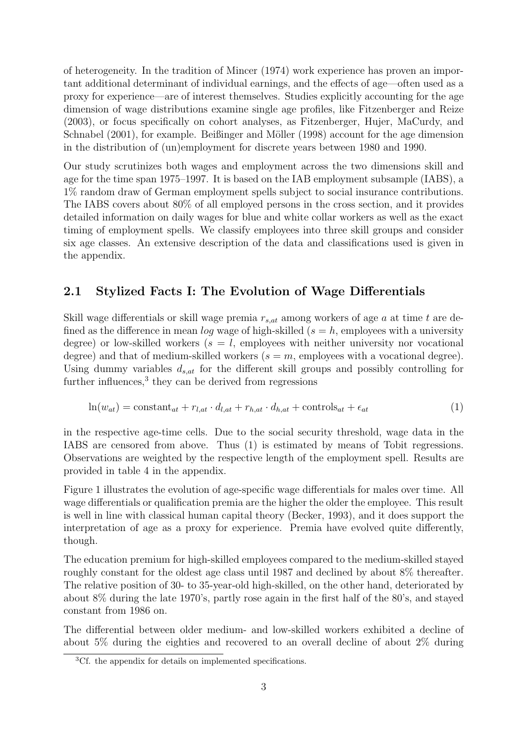of heterogeneity. In the tradition of Mincer (1974) work experience has proven an important additional determinant of individual earnings, and the effects of age—often used as a proxy for experience—are of interest themselves. Studies explicitly accounting for the age dimension of wage distributions examine single age profiles, like Fitzenberger and Reize (2003), or focus specifically on cohort analyses, as Fitzenberger, Hujer, MaCurdy, and Schnabel (2001), for example. Beißinger and Möller (1998) account for the age dimension in the distribution of (un)employment for discrete years between 1980 and 1990.

Our study scrutinizes both wages and employment across the two dimensions skill and age for the time span 1975–1997. It is based on the IAB employment subsample (IABS), a 1% random draw of German employment spells subject to social insurance contributions. The IABS covers about 80% of all employed persons in the cross section, and it provides detailed information on daily wages for blue and white collar workers as well as the exact timing of employment spells. We classify employees into three skill groups and consider six age classes. An extensive description of the data and classifications used is given in the appendix.

### 2.1 Stylized Facts I: The Evolution of Wage Differentials

Skill wage differentials or skill wage premia  $r_{s,at}$  among workers of age a at time t are defined as the difference in mean  $log$  wage of high-skilled  $(s = h,$  employees with a university degree) or low-skilled workers  $(s = l,$  employees with neither university nor vocational degree) and that of medium-skilled workers  $(s = m,$  employees with a vocational degree). Using dummy variables  $d_{s,at}$  for the different skill groups and possibly controlling for further influences,<sup>3</sup> they can be derived from regressions

$$
\ln(w_{at}) = \text{constant}_{at} + r_{l,at} \cdot d_{l,at} + r_{h,at} \cdot d_{h,at} + \text{controls}_{at} + \epsilon_{at} \tag{1}
$$

in the respective age-time cells. Due to the social security threshold, wage data in the IABS are censored from above. Thus (1) is estimated by means of Tobit regressions. Observations are weighted by the respective length of the employment spell. Results are provided in table 4 in the appendix.

Figure 1 illustrates the evolution of age-specific wage differentials for males over time. All wage differentials or qualification premia are the higher the older the employee. This result is well in line with classical human capital theory (Becker, 1993), and it does support the interpretation of age as a proxy for experience. Premia have evolved quite differently, though.

The education premium for high-skilled employees compared to the medium-skilled stayed roughly constant for the oldest age class until 1987 and declined by about 8% thereafter. The relative position of 30- to 35-year-old high-skilled, on the other hand, deteriorated by about 8% during the late 1970's, partly rose again in the first half of the 80's, and stayed constant from 1986 on.

The differential between older medium- and low-skilled workers exhibited a decline of about 5% during the eighties and recovered to an overall decline of about 2% during

<sup>3</sup>Cf. the appendix for details on implemented specifications.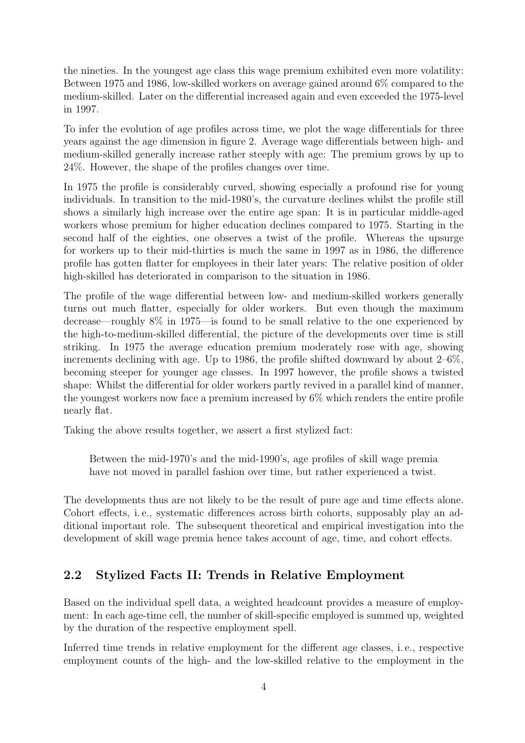the nineties. In the youngest age class this wage premium exhibited even more volatility: Between 1975 and 1986, low-skilled workers on average gained around 6% compared to the medium-skilled. Later on the differential increased again and even exceeded the 1975-level in 1997.

To infer the evolution of age profiles across time, we plot the wage differentials for three years against the age dimension in figure 2. Average wage differentials between high- and medium-skilled generally increase rather steeply with age: The premium grows by up to 24%. However, the shape of the profiles changes over time.

In 1975 the profile is considerably curved, showing especially a profound rise for young individuals. In transition to the mid-1980's, the curvature declines whilst the profile still shows a similarly high increase over the entire age span: It is in particular middle-aged workers whose premium for higher education declines compared to 1975. Starting in the second half of the eighties, one observes a twist of the profile. Whereas the upsurge for workers up to their mid-thirties is much the same in 1997 as in 1986, the difference profile has gotten flatter for employees in their later years: The relative position of older high-skilled has deteriorated in comparison to the situation in 1986.

The profile of the wage differential between low- and medium-skilled workers generally turns out much flatter, especially for older workers. But even though the maximum decrease—roughly 8% in 1975—is found to be small relative to the one experienced by the high-to-medium-skilled differential, the picture of the developments over time is still striking. In 1975 the average education premium moderately rose with age, showing increments declining with age. Up to 1986, the profile shifted downward by about 2–6%, becoming steeper for younger age classes. In 1997 however, the profile shows a twisted shape: Whilst the differential for older workers partly revived in a parallel kind of manner, the youngest workers now face a premium increased by 6% which renders the entire profile nearly flat.

Taking the above results together, we assert a first stylized fact:

Between the mid-1970's and the mid-1990's, age profiles of skill wage premia have not moved in parallel fashion over time, but rather experienced a twist.

The developments thus are not likely to be the result of pure age and time effects alone. Cohort effects, i. e., systematic differences across birth cohorts, supposably play an additional important role. The subsequent theoretical and empirical investigation into the development of skill wage premia hence takes account of age, time, and cohort effects.

### 2.2 Stylized Facts II: Trends in Relative Employment

Based on the individual spell data, a weighted headcount provides a measure of employment: In each age-time cell, the number of skill-specific employed is summed up, weighted by the duration of the respective employment spell.

Inferred time trends in relative employment for the different age classes, i. e., respective employment counts of the high- and the low-skilled relative to the employment in the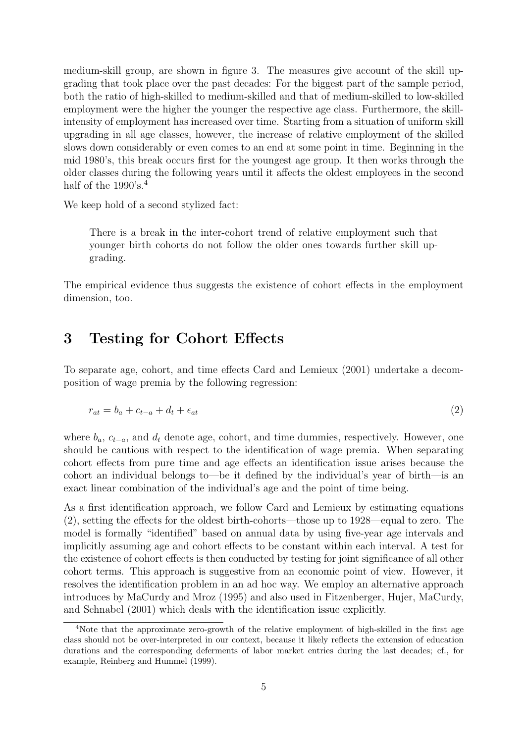medium-skill group, are shown in figure 3. The measures give account of the skill upgrading that took place over the past decades: For the biggest part of the sample period, both the ratio of high-skilled to medium-skilled and that of medium-skilled to low-skilled employment were the higher the younger the respective age class. Furthermore, the skillintensity of employment has increased over time. Starting from a situation of uniform skill upgrading in all age classes, however, the increase of relative employment of the skilled slows down considerably or even comes to an end at some point in time. Beginning in the mid 1980's, this break occurs first for the youngest age group. It then works through the older classes during the following years until it affects the oldest employees in the second half of the 1990's.<sup>4</sup>

We keep hold of a second stylized fact:

There is a break in the inter-cohort trend of relative employment such that younger birth cohorts do not follow the older ones towards further skill upgrading.

The empirical evidence thus suggests the existence of cohort effects in the employment dimension, too.

### 3 Testing for Cohort Effects

To separate age, cohort, and time effects Card and Lemieux (2001) undertake a decomposition of wage premia by the following regression:

$$
r_{at} = b_a + c_{t-a} + d_t + \epsilon_{at} \tag{2}
$$

where  $b_a$ ,  $c_{t-a}$ , and  $d_t$  denote age, cohort, and time dummies, respectively. However, one should be cautious with respect to the identification of wage premia. When separating cohort effects from pure time and age effects an identification issue arises because the cohort an individual belongs to—be it defined by the individual's year of birth—is an exact linear combination of the individual's age and the point of time being.

As a first identification approach, we follow Card and Lemieux by estimating equations (2), setting the effects for the oldest birth-cohorts—those up to 1928—equal to zero. The model is formally "identified" based on annual data by using five-year age intervals and implicitly assuming age and cohort effects to be constant within each interval. A test for the existence of cohort effects is then conducted by testing for joint significance of all other cohort terms. This approach is suggestive from an economic point of view. However, it resolves the identification problem in an ad hoc way. We employ an alternative approach introduces by MaCurdy and Mroz (1995) and also used in Fitzenberger, Hujer, MaCurdy, and Schnabel (2001) which deals with the identification issue explicitly.

<sup>&</sup>lt;sup>4</sup>Note that the approximate zero-growth of the relative employment of high-skilled in the first age class should not be over-interpreted in our context, because it likely reflects the extension of education durations and the corresponding deferments of labor market entries during the last decades; cf., for example, Reinberg and Hummel (1999).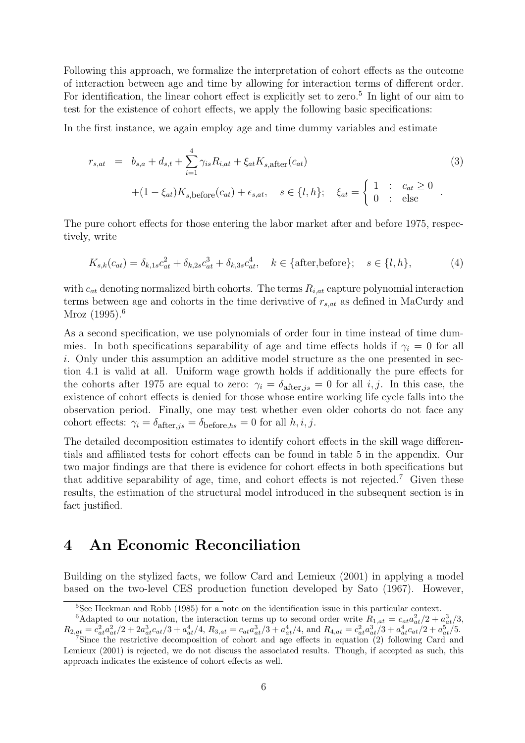Following this approach, we formalize the interpretation of cohort effects as the outcome of interaction between age and time by allowing for interaction terms of different order. For identification, the linear cohort effect is explicitly set to zero.<sup>5</sup> In light of our aim to test for the existence of cohort effects, we apply the following basic specifications:

In the first instance, we again employ age and time dummy variables and estimate

$$
r_{s,at} = b_{s,a} + d_{s,t} + \sum_{i=1}^{4} \gamma_{is} R_{i,at} + \xi_{at} K_{s,after}(c_{at})
$$
  
 
$$
+ (1 - \xi_{at}) K_{s,before}(c_{at}) + \epsilon_{s,at}, \quad s \in \{l, h\}; \quad \xi_{at} = \begin{cases} 1 & \text{:} & c_{at} \geq 0 \\ 0 & \text{:} & \text{else} \end{cases}.
$$
 (3)

The pure cohort effects for those entering the labor market after and before 1975, respectively, write

$$
K_{s,k}(c_{at}) = \delta_{k,1s}c_{at}^2 + \delta_{k,2s}c_{at}^3 + \delta_{k,3s}c_{at}^4, \quad k \in \{\text{after}, \text{before}\}; \quad s \in \{l, h\},\tag{4}
$$

with  $c_{at}$  denoting normalized birth cohorts. The terms  $R_{i,at}$  capture polynomial interaction terms between age and cohorts in the time derivative of  $r_{s,at}$  as defined in MaCurdy and Mroz (1995).<sup>6</sup>

As a second specification, we use polynomials of order four in time instead of time dummies. In both specifications separability of age and time effects holds if  $\gamma_i = 0$  for all i. Only under this assumption an additive model structure as the one presented in section 4.1 is valid at all. Uniform wage growth holds if additionally the pure effects for the cohorts after 1975 are equal to zero:  $\gamma_i = \delta_{\text{after},j_s} = 0$  for all i, j. In this case, the existence of cohort effects is denied for those whose entire working life cycle falls into the observation period. Finally, one may test whether even older cohorts do not face any cohort effects:  $\gamma_i = \delta_{\text{after},is} = \delta_{\text{before},hs} = 0$  for all  $h, i, j$ .

The detailed decomposition estimates to identify cohort effects in the skill wage differentials and affiliated tests for cohort effects can be found in table 5 in the appendix. Our two major findings are that there is evidence for cohort effects in both specifications but that additive separability of age, time, and cohort effects is not rejected.<sup>7</sup> Given these results, the estimation of the structural model introduced in the subsequent section is in fact justified.

### 4 An Economic Reconciliation

Building on the stylized facts, we follow Card and Lemieux (2001) in applying a model based on the two-level CES production function developed by Sato (1967). However,

<sup>5</sup>See Heckman and Robb (1985) for a note on the identification issue in this particular context.

<sup>&</sup>lt;sup>6</sup>Adapted to our notation, the interaction terms up to second order write  $R_{1,at} = c_{at}a_{at}^2/2 + a_{at}^3/3$ ,  $R_{2,at} = c_{at}^2 a_{at}^2/2 + 2a_{at}^3 c_{at}/3 + a_{at}^4/4$ ,  $R_{3,at} = c_{at} a_{at}^3/3 + a_{at}^4/4$ , and  $R_{4,at} = c_{at}^2 a_{at}^3/3 + a_{at}^4 c_{at}/2 + a_{at}^5/5$ .

<sup>7</sup>Since the restrictive decomposition of cohort and age effects in equation (2) following Card and Lemieux (2001) is rejected, we do not discuss the associated results. Though, if accepted as such, this approach indicates the existence of cohort effects as well.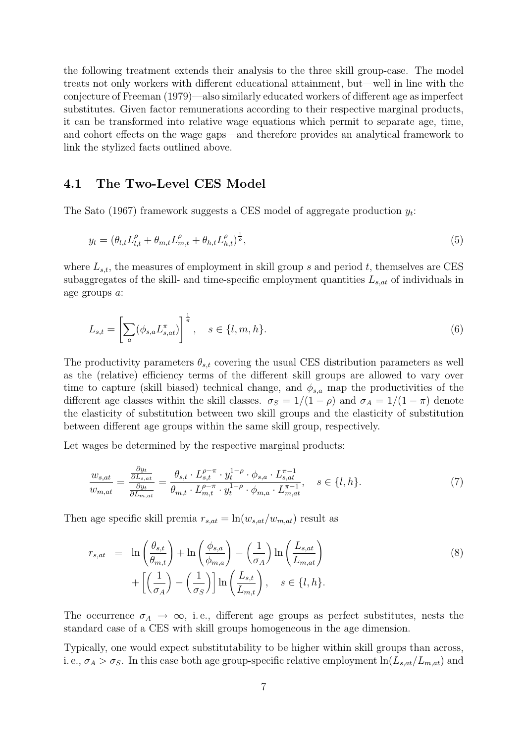the following treatment extends their analysis to the three skill group-case. The model treats not only workers with different educational attainment, but—well in line with the conjecture of Freeman (1979)—also similarly educated workers of different age as imperfect substitutes. Given factor remunerations according to their respective marginal products, it can be transformed into relative wage equations which permit to separate age, time, and cohort effects on the wage gaps—and therefore provides an analytical framework to link the stylized facts outlined above.

#### 4.1 The Two-Level CES Model

The Sato (1967) framework suggests a CES model of aggregate production  $y_t$ :

$$
y_t = (\theta_{l,t} L_{l,t}^{\rho} + \theta_{m,t} L_{m,t}^{\rho} + \theta_{h,t} L_{h,t}^{\rho})^{\frac{1}{\rho}},
$$
\n(5)

where  $L_{s,t}$ , the measures of employment in skill group s and period t, themselves are CES subaggregates of the skill- and time-specific employment quantities  $L_{s,at}$  of individuals in age groups a:

$$
L_{s,t} = \left[\sum_{a} (\phi_{s,a} L_{s,at}^{\pi})\right]^{\frac{1}{\pi}}, \quad s \in \{l, m, h\}.
$$
 (6)

The productivity parameters  $\theta_{s,t}$  covering the usual CES distribution parameters as well as the (relative) efficiency terms of the different skill groups are allowed to vary over time to capture (skill biased) technical change, and  $\phi_{s,a}$  map the productivities of the different age classes within the skill classes.  $\sigma_S = 1/(1 - \rho)$  and  $\sigma_A = 1/(1 - \pi)$  denote the elasticity of substitution between two skill groups and the elasticity of substitution between different age groups within the same skill group, respectively.

Let wages be determined by the respective marginal products:

$$
\frac{w_{s,at}}{w_{m,at}} = \frac{\frac{\partial y_t}{\partial L_{s,at}}}{\frac{\partial y_t}{\partial L_{m,at}}} = \frac{\theta_{s,t} \cdot L_{s,t}^{\rho - \pi} \cdot y_t^{1 - \rho} \cdot \phi_{s,a} \cdot L_{s,at}^{\pi - 1}}{\theta_{m,t} \cdot L_{m,t}^{\rho - \pi} \cdot y_t^{1 - \rho} \cdot \phi_{m,a} \cdot L_{m,at}^{\pi - 1}}, \quad s \in \{l, h\}.
$$
\n
$$
(7)
$$

Then age specific skill premia  $r_{s,at} = \ln(w_{s,at}/w_{m,at})$  result as

$$
r_{s,at} = \ln\left(\frac{\theta_{s,t}}{\theta_{m,t}}\right) + \ln\left(\frac{\phi_{s,a}}{\phi_{m,a}}\right) - \left(\frac{1}{\sigma_A}\right)\ln\left(\frac{L_{s,at}}{L_{m,at}}\right) + \left[\left(\frac{1}{\sigma_A}\right) - \left(\frac{1}{\sigma_S}\right)\right]\ln\left(\frac{L_{s,t}}{L_{m,t}}\right), \quad s \in \{l,h\}.
$$
\n
$$
(8)
$$

The occurrence  $\sigma_A \rightarrow \infty$ , i.e., different age groups as perfect substitutes, nests the standard case of a CES with skill groups homogeneous in the age dimension.

Typically, one would expect substitutability to be higher within skill groups than across, i. e.,  $\sigma_A > \sigma_S$ . In this case both age group-specific relative employment  $\ln(L_{s,at}/L_{m,at})$  and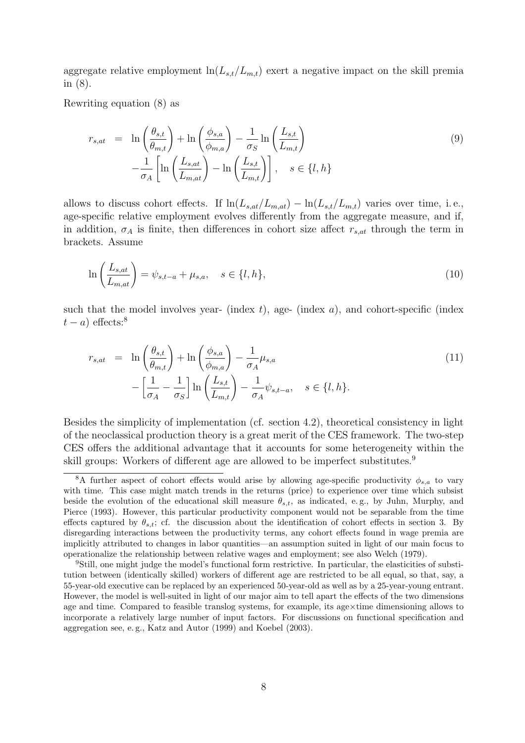aggregate relative employment  $\ln(L_{s,t}/L_{m,t})$  exert a negative impact on the skill premia in (8).

Rewriting equation (8) as

$$
r_{s,at} = \ln\left(\frac{\theta_{s,t}}{\theta_{m,t}}\right) + \ln\left(\frac{\phi_{s,a}}{\phi_{m,a}}\right) - \frac{1}{\sigma_S} \ln\left(\frac{L_{s,t}}{L_{m,t}}\right)
$$

$$
-\frac{1}{\sigma_A} \left[ \ln\left(\frac{L_{s,at}}{L_{m,at}}\right) - \ln\left(\frac{L_{s,t}}{L_{m,t}}\right) \right], \quad s \in \{l, h\}
$$
(9)

allows to discuss cohort effects. If  $\ln(L_{s,at}/L_{m,at}) - \ln(L_{s,t}/L_{m,t})$  varies over time, i.e., age-specific relative employment evolves differently from the aggregate measure, and if, in addition,  $\sigma_A$  is finite, then differences in cohort size affect  $r_{s,at}$  through the term in brackets. Assume

$$
\ln\left(\frac{L_{s,at}}{L_{m,at}}\right) = \psi_{s,t-a} + \mu_{s,a}, \quad s \in \{l, h\},\tag{10}
$$

such that the model involves year- (index  $t$ ), age- (index  $a$ ), and cohort-specific (index  $t - a$ ) effects:<sup>8</sup>

$$
r_{s,at} = \ln\left(\frac{\theta_{s,t}}{\theta_{m,t}}\right) + \ln\left(\frac{\phi_{s,a}}{\phi_{m,a}}\right) - \frac{1}{\sigma_A} \mu_{s,a}
$$
  

$$
-\left[\frac{1}{\sigma_A} - \frac{1}{\sigma_S}\right] \ln\left(\frac{L_{s,t}}{L_{m,t}}\right) - \frac{1}{\sigma_A} \psi_{s,t-a}, \quad s \in \{l, h\}.
$$
 (11)

Besides the simplicity of implementation (cf. section 4.2), theoretical consistency in light of the neoclassical production theory is a great merit of the CES framework. The two-step CES offers the additional advantage that it accounts for some heterogeneity within the skill groups: Workers of different age are allowed to be imperfect substitutes.<sup>9</sup>

<sup>&</sup>lt;sup>8</sup>A further aspect of cohort effects would arise by allowing age-specific productivity  $\phi_{s,a}$  to vary with time. This case might match trends in the returns (price) to experience over time which subsist beside the evolution of the educational skill measure  $\theta_{s,t}$ , as indicated, e.g., by Juhn, Murphy, and Pierce (1993). However, this particular productivity component would not be separable from the time effects captured by  $\theta_{s,t}$ ; cf. the discussion about the identification of cohort effects in section 3. By disregarding interactions between the productivity terms, any cohort effects found in wage premia are implicitly attributed to changes in labor quantities—an assumption suited in light of our main focus to operationalize the relationship between relative wages and employment; see also Welch (1979).

<sup>9</sup>Still, one might judge the model's functional form restrictive. In particular, the elasticities of substitution between (identically skilled) workers of different age are restricted to be all equal, so that, say, a 55-year-old executive can be replaced by an experienced 50-year-old as well as by a 25-year-young entrant. However, the model is well-suited in light of our major aim to tell apart the effects of the two dimensions age and time. Compared to feasible translog systems, for example, its age×time dimensioning allows to incorporate a relatively large number of input factors. For discussions on functional specification and aggregation see, e. g., Katz and Autor (1999) and Koebel (2003).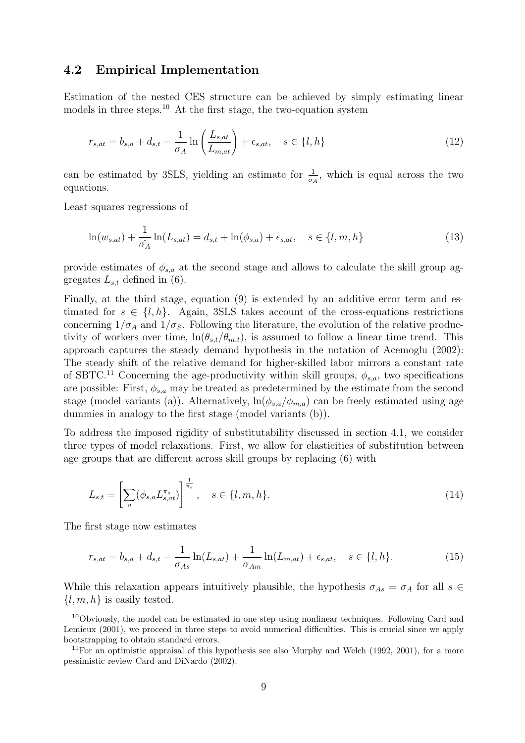#### 4.2 Empirical Implementation

Estimation of the nested CES structure can be achieved by simply estimating linear models in three steps.<sup>10</sup> At the first stage, the two-equation system

$$
r_{s,at} = b_{s,a} + d_{s,t} - \frac{1}{\sigma_A} \ln \left( \frac{L_{s,at}}{L_{m,at}} \right) + \epsilon_{s,at}, \quad s \in \{l, h\}
$$
 (12)

can be estimated by 3SLS, yielding an estimate for  $\frac{1}{\sigma_A}$ , which is equal across the two equations.

Least squares regressions of

$$
\ln(w_{s,at}) + \frac{1}{\hat{\sigma}_A} \ln(L_{s,at}) = d_{s,t} + \ln(\phi_{s,a}) + \epsilon_{s,at}, \quad s \in \{l, m, h\}
$$
 (13)

provide estimates of  $\phi_{s,a}$  at the second stage and allows to calculate the skill group aggregates  $L_{s,t}$  defined in (6).

Finally, at the third stage, equation (9) is extended by an additive error term and estimated for  $s \in \{l, h\}$ . Again, 3SLS takes account of the cross-equations restrictions concerning  $1/\sigma_A$  and  $1/\sigma_S$ . Following the literature, the evolution of the relative productivity of workers over time,  $\ln(\theta_{s,t}/\theta_{m,t})$ , is assumed to follow a linear time trend. This approach captures the steady demand hypothesis in the notation of Acemoglu (2002): The steady shift of the relative demand for higher-skilled labor mirrors a constant rate of SBTC.<sup>11</sup> Concerning the age-productivity within skill groups,  $\phi_{s,a}$ , two specifications are possible: First,  $\phi_{s,a}$  may be treated as predetermined by the estimate from the second stage (model variants (a)). Alternatively,  $\ln(\phi_{s,a}/\phi_{m,a})$  can be freely estimated using age dummies in analogy to the first stage (model variants (b)).

To address the imposed rigidity of substitutability discussed in section 4.1, we consider three types of model relaxations. First, we allow for elasticities of substitution between age groups that are different across skill groups by replacing (6) with

$$
L_{s,t} = \left[\sum_{a} (\phi_{s,a} L_{s,at}^{\pi_s})\right]^{\frac{1}{\pi_s}}, \quad s \in \{l, m, h\}.
$$
 (14)

The first stage now estimates

$$
r_{s,at} = b_{s,a} + d_{s,t} - \frac{1}{\sigma_{As}} \ln(L_{s,at}) + \frac{1}{\sigma_{Am}} \ln(L_{m,at}) + \epsilon_{s,at}, \quad s \in \{l, h\}. \tag{15}
$$

While this relaxation appears intuitively plausible, the hypothesis  $\sigma_{As} = \sigma_A$  for all  $s \in$  $\{l, m, h\}$  is easily tested.

<sup>10</sup>Obviously, the model can be estimated in one step using nonlinear techniques. Following Card and Lemieux (2001), we proceed in three steps to avoid numerical difficulties. This is crucial since we apply bootstrapping to obtain standard errors.

 $11$ For an optimistic appraisal of this hypothesis see also Murphy and Welch (1992, 2001), for a more pessimistic review Card and DiNardo (2002).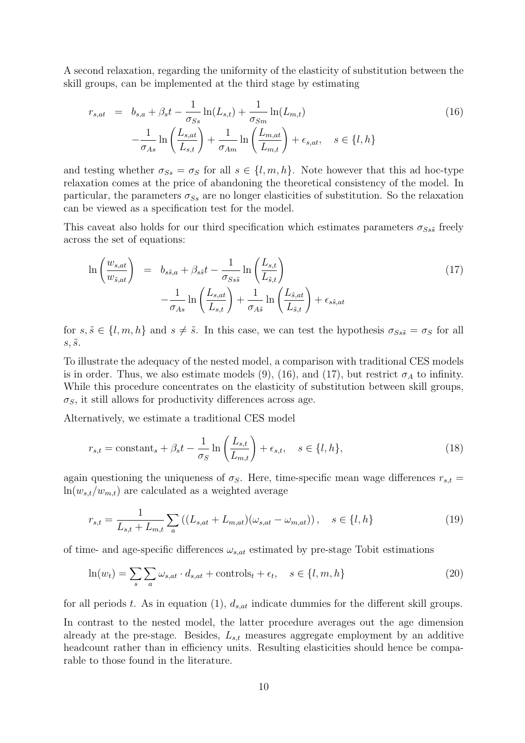A second relaxation, regarding the uniformity of the elasticity of substitution between the skill groups, can be implemented at the third stage by estimating

$$
r_{s,at} = b_{s,a} + \beta_s t - \frac{1}{\sigma_{Ss}} \ln(L_{s,t}) + \frac{1}{\sigma_{Sm}} \ln(L_{m,t})
$$
  

$$
-\frac{1}{\sigma_{As}} \ln\left(\frac{L_{s,at}}{L_{s,t}}\right) + \frac{1}{\sigma_{Am}} \ln\left(\frac{L_{m,at}}{L_{m,t}}\right) + \epsilon_{s,at}, \quad s \in \{l, h\}
$$
 (16)

and testing whether  $\sigma_{Ss} = \sigma_S$  for all  $s \in \{l, m, h\}$ . Note however that this ad hoc-type relaxation comes at the price of abandoning the theoretical consistency of the model. In particular, the parameters  $\sigma_{Ss}$  are no longer elasticities of substitution. So the relaxation can be viewed as a specification test for the model.

This caveat also holds for our third specification which estimates parameters  $\sigma_{Ss\tilde{s}}$  freely across the set of equations:

$$
\ln\left(\frac{w_{s,at}}{w_{\tilde{s},at}}\right) = b_{s\tilde{s},a} + \beta_{s\tilde{s}}t - \frac{1}{\sigma_{Ss\tilde{s}}} \ln\left(\frac{L_{s,t}}{L_{\tilde{s},t}}\right) - \frac{1}{\sigma_{As}} \ln\left(\frac{L_{s,at}}{L_{s,t}}\right) + \frac{1}{\sigma_{A\tilde{s}}} \ln\left(\frac{L_{\tilde{s},at}}{L_{\tilde{s},t}}\right) + \epsilon_{s\tilde{s},at}
$$
\n(17)

for  $s, \tilde{s} \in \{l, m, h\}$  and  $s \neq \tilde{s}$ . In this case, we can test the hypothesis  $\sigma_{Ss\tilde{s}} = \sigma_S$  for all  $s, \tilde{s}$ .

To illustrate the adequacy of the nested model, a comparison with traditional CES models is in order. Thus, we also estimate models (9), (16), and (17), but restrict  $\sigma_A$  to infinity. While this procedure concentrates on the elasticity of substitution between skill groups,  $\sigma_S$ , it still allows for productivity differences across age.

Alternatively, we estimate a traditional CES model

$$
r_{s,t} = \text{constant}_s + \beta_s t - \frac{1}{\sigma_S} \ln \left( \frac{L_{s,t}}{L_{m,t}} \right) + \epsilon_{s,t}, \quad s \in \{l, h\},\tag{18}
$$

again questioning the uniqueness of  $\sigma_S$ . Here, time-specific mean wage differences  $r_{s,t}$  =  $ln(w_{s,t}/w_{m,t})$  are calculated as a weighted average

$$
r_{s,t} = \frac{1}{L_{s,t} + L_{m,t}} \sum_{a} \left( (L_{s,at} + L_{m,at})(\omega_{s,at} - \omega_{m,at}) \right), \quad s \in \{l, h\}
$$
 (19)

of time- and age-specific differences  $\omega_{s,at}$  estimated by pre-stage Tobit estimations

$$
\ln(w_t) = \sum_{s} \sum_{a} \omega_{s,at} \cdot d_{s,at} + \text{controls}_t + \epsilon_t, \quad s \in \{l, m, h\}
$$
 (20)

for all periods t. As in equation (1),  $d_{s,at}$  indicate dummies for the different skill groups.

In contrast to the nested model, the latter procedure averages out the age dimension already at the pre-stage. Besides,  $L_{s,t}$  measures aggregate employment by an additive headcount rather than in efficiency units. Resulting elasticities should hence be comparable to those found in the literature.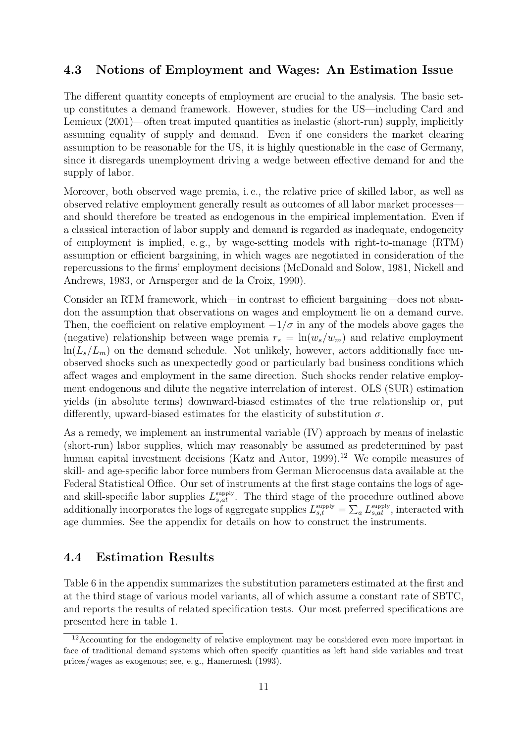#### 4.3 Notions of Employment and Wages: An Estimation Issue

The different quantity concepts of employment are crucial to the analysis. The basic setup constitutes a demand framework. However, studies for the US—including Card and Lemieux (2001)—often treat imputed quantities as inelastic (short-run) supply, implicitly assuming equality of supply and demand. Even if one considers the market clearing assumption to be reasonable for the US, it is highly questionable in the case of Germany, since it disregards unemployment driving a wedge between effective demand for and the supply of labor.

Moreover, both observed wage premia, i. e., the relative price of skilled labor, as well as observed relative employment generally result as outcomes of all labor market processes and should therefore be treated as endogenous in the empirical implementation. Even if a classical interaction of labor supply and demand is regarded as inadequate, endogeneity of employment is implied, e. g., by wage-setting models with right-to-manage (RTM) assumption or efficient bargaining, in which wages are negotiated in consideration of the repercussions to the firms' employment decisions (McDonald and Solow, 1981, Nickell and Andrews, 1983, or Arnsperger and de la Croix, 1990).

Consider an RTM framework, which—in contrast to efficient bargaining—does not abandon the assumption that observations on wages and employment lie on a demand curve. Then, the coefficient on relative employment  $-1/\sigma$  in any of the models above gages the (negative) relationship between wage premia  $r_s = \ln(w_s/w_m)$  and relative employment  $ln(L_s/L_m)$  on the demand schedule. Not unlikely, however, actors additionally face unobserved shocks such as unexpectedly good or particularly bad business conditions which affect wages and employment in the same direction. Such shocks render relative employment endogenous and dilute the negative interrelation of interest. OLS (SUR) estimation yields (in absolute terms) downward-biased estimates of the true relationship or, put differently, upward-biased estimates for the elasticity of substitution  $\sigma$ .

As a remedy, we implement an instrumental variable (IV) approach by means of inelastic (short-run) labor supplies, which may reasonably be assumed as predetermined by past human capital investment decisions (Katz and Autor, 1999).<sup>12</sup> We compile measures of skill- and age-specific labor force numbers from German Microcensus data available at the Federal Statistical Office. Our set of instruments at the first stage contains the logs of ageand skill-specific labor supplies  $L_{s,at}^{\text{supply}}$ . The third stage of the procedure outlined above additionally incorporates the logs of aggregate supplies  $L_{s,t}^{\text{supply}} = \sum_a L_{s,at}^{\text{supply}}$ , interacted with age dummies. See the appendix for details on how to construct the instruments.

#### 4.4 Estimation Results

Table 6 in the appendix summarizes the substitution parameters estimated at the first and at the third stage of various model variants, all of which assume a constant rate of SBTC, and reports the results of related specification tests. Our most preferred specifications are presented here in table 1.

<sup>&</sup>lt;sup>12</sup> Accounting for the endogeneity of relative employment may be considered even more important in face of traditional demand systems which often specify quantities as left hand side variables and treat prices/wages as exogenous; see, e. g., Hamermesh (1993).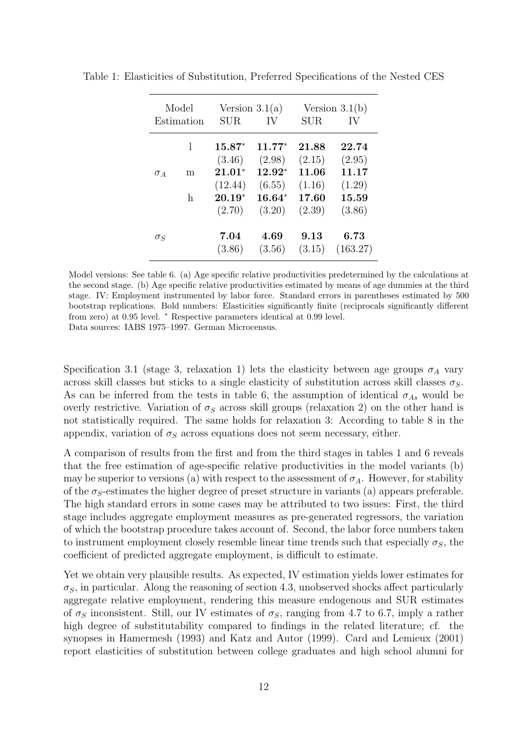|            | Model<br>Estimation | Version $3.1(a)$<br><b>SUR</b><br>IV |                    | Version $3.1(b)$<br><b>SUR</b><br>IV |                  |  |
|------------|---------------------|--------------------------------------|--------------------|--------------------------------------|------------------|--|
|            | 1                   | $15.87^*$                            | $11.77*$           | 21.88                                | 22.74            |  |
| $\sigma_A$ | m                   | (3.46)<br>$21.01^*$                  | (2.98)<br>$12.92*$ | (2.15)<br>11.06                      | (2.95)<br>11.17  |  |
|            | h                   | (12.44)<br>$20.19*$                  | (6.55)<br>$16.64*$ | (1.16)<br>17.60                      | (1.29)<br>15.59  |  |
|            |                     | (2.70)                               | (3.20)             | (2.39)                               | (3.86)           |  |
| $\sigma_S$ |                     | 7.04<br>(3.86)                       | 4.69<br>(3.56)     | 9.13<br>(3.15)                       | 6.73<br>(163.27) |  |

Table 1: Elasticities of Substitution, Preferred Specifications of the Nested CES

Model versions: See table 6. (a) Age specific relative productivities predetermined by the calculations at the second stage. (b) Age specific relative productivities estimated by means of age dummies at the third stage. IV: Employment instrumented by labor force. Standard errors in parentheses estimated by 500 bootstrap replications. Bold numbers: Elasticities significantly finite (reciprocals significantly different from zero) at 0.95 level. \* Respective parameters identical at 0.99 level. Data sources: IABS 1975–1997. German Microcensus.

Specification 3.1 (stage 3, relaxation 1) lets the elasticity between age groups  $\sigma_A$  vary across skill classes but sticks to a single elasticity of substitution across skill classes  $\sigma_S$ . As can be inferred from the tests in table 6, the assumption of identical  $\sigma_{As}$  would be overly restrictive. Variation of  $\sigma_S$  across skill groups (relaxation 2) on the other hand is not statistically required. The same holds for relaxation 3: According to table 8 in the appendix, variation of  $\sigma_S$  across equations does not seem necessary, either.

A comparison of results from the first and from the third stages in tables 1 and 6 reveals that the free estimation of age-specific relative productivities in the model variants (b) may be superior to versions (a) with respect to the assessment of  $\sigma_A$ . However, for stability of the  $\sigma_s$ -estimates the higher degree of preset structure in variants (a) appears preferable. The high standard errors in some cases may be attributed to two issues: First, the third stage includes aggregate employment measures as pre-generated regressors, the variation of which the bootstrap procedure takes account of. Second, the labor force numbers taken to instrument employment closely resemble linear time trends such that especially  $\sigma_S$ , the coefficient of predicted aggregate employment, is difficult to estimate.

Yet we obtain very plausible results. As expected, IV estimation yields lower estimates for  $\sigma_S$ , in particular. Along the reasoning of section 4.3, unobserved shocks affect particularly aggregate relative employment, rendering this measure endogenous and SUR estimates of  $\sigma_S$  inconsistent. Still, our IV estimates of  $\sigma_S$ , ranging from 4.7 to 6.7, imply a rather high degree of substitutability compared to findings in the related literature; cf. the synopses in Hamermesh (1993) and Katz and Autor (1999). Card and Lemieux (2001) report elasticities of substitution between college graduates and high school alumni for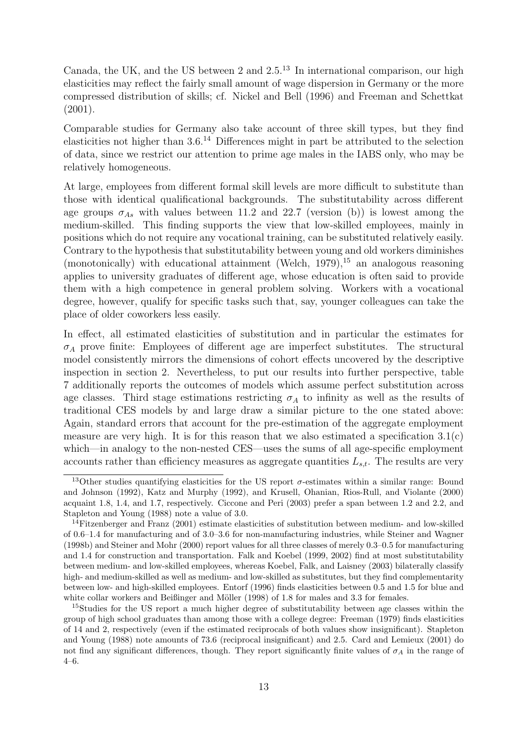Canada, the UK, and the US between 2 and  $2.5<sup>13</sup>$  In international comparison, our high elasticities may reflect the fairly small amount of wage dispersion in Germany or the more compressed distribution of skills; cf. Nickel and Bell (1996) and Freeman and Schettkat (2001).

Comparable studies for Germany also take account of three skill types, but they find elasticities not higher than  $3.6^{14}$  Differences might in part be attributed to the selection of data, since we restrict our attention to prime age males in the IABS only, who may be relatively homogeneous.

At large, employees from different formal skill levels are more difficult to substitute than those with identical qualificational backgrounds. The substitutability across different age groups  $\sigma_{As}$  with values between 11.2 and 22.7 (version (b)) is lowest among the medium-skilled. This finding supports the view that low-skilled employees, mainly in positions which do not require any vocational training, can be substituted relatively easily. Contrary to the hypothesis that substitutability between young and old workers diminishes (monotonically) with educational attainment (Welch,  $1979$ ),<sup>15</sup> an analogous reasoning applies to university graduates of different age, whose education is often said to provide them with a high competence in general problem solving. Workers with a vocational degree, however, qualify for specific tasks such that, say, younger colleagues can take the place of older coworkers less easily.

In effect, all estimated elasticities of substitution and in particular the estimates for  $\sigma_A$  prove finite: Employees of different age are imperfect substitutes. The structural model consistently mirrors the dimensions of cohort effects uncovered by the descriptive inspection in section 2. Nevertheless, to put our results into further perspective, table 7 additionally reports the outcomes of models which assume perfect substitution across age classes. Third stage estimations restricting  $\sigma_A$  to infinity as well as the results of traditional CES models by and large draw a similar picture to the one stated above: Again, standard errors that account for the pre-estimation of the aggregate employment measure are very high. It is for this reason that we also estimated a specification  $3.1(c)$ which—in analogy to the non-nested CES—uses the sums of all age-specific employment accounts rather than efficiency measures as aggregate quantities  $L_{s,t}$ . The results are very

<sup>&</sup>lt;sup>13</sup>Other studies quantifying elasticities for the US report  $\sigma$ -estimates within a similar range: Bound and Johnson (1992), Katz and Murphy (1992), and Krusell, Ohanian, Rios-Rull, and Violante (2000) acquaint 1.8, 1.4, and 1.7, respectively. Ciccone and Peri (2003) prefer a span between 1.2 and 2.2, and Stapleton and Young (1988) note a value of 3.0.

<sup>14</sup>Fitzenberger and Franz (2001) estimate elasticities of substitution between medium- and low-skilled of 0.6–1.4 for manufacturing and of 3.0–3.6 for non-manufacturing industries, while Steiner and Wagner (1998b) and Steiner and Mohr (2000) report values for all three classes of merely 0.3–0.5 for manufacturing and 1.4 for construction and transportation. Falk and Koebel (1999, 2002) find at most substitutability between medium- and low-skilled employees, whereas Koebel, Falk, and Laisney (2003) bilaterally classify high- and medium-skilled as well as medium- and low-skilled as substitutes, but they find complementarity between low- and high-skilled employees. Entorf (1996) finds elasticities between 0.5 and 1.5 for blue and white collar workers and Beißinger and Möller  $(1998)$  of 1.8 for males and 3.3 for females.

<sup>&</sup>lt;sup>15</sup>Studies for the US report a much higher degree of substitutability between age classes within the group of high school graduates than among those with a college degree: Freeman (1979) finds elasticities of 14 and 2, respectively (even if the estimated reciprocals of both values show insignificant). Stapleton and Young (1988) note amounts of 73.6 (reciprocal insignificant) and 2.5. Card and Lemieux (2001) do not find any significant differences, though. They report significantly finite values of  $\sigma_A$  in the range of 4–6.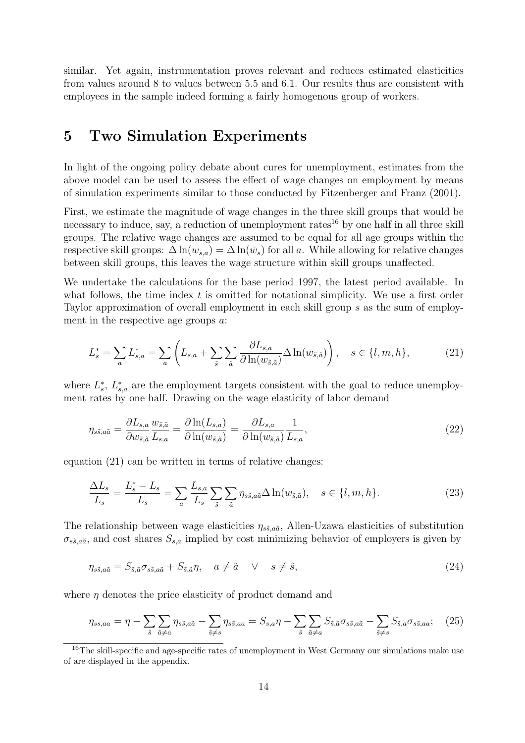similar. Yet again, instrumentation proves relevant and reduces estimated elasticities from values around 8 to values between 5.5 and 6.1. Our results thus are consistent with employees in the sample indeed forming a fairly homogenous group of workers.

### 5 Two Simulation Experiments

In light of the ongoing policy debate about cures for unemployment, estimates from the above model can be used to assess the effect of wage changes on employment by means of simulation experiments similar to those conducted by Fitzenberger and Franz (2001).

First, we estimate the magnitude of wage changes in the three skill groups that would be necessary to induce, say, a reduction of unemployment rates<sup>16</sup> by one half in all three skill groups. The relative wage changes are assumed to be equal for all age groups within the respective skill groups:  $\Delta \ln(w_{s,a}) = \Delta \ln(\bar{w}_s)$  for all a. While allowing for relative changes between skill groups, this leaves the wage structure within skill groups unaffected.

We undertake the calculations for the base period 1997, the latest period available. In what follows, the time index  $t$  is omitted for notational simplicity. We use a first order Taylor approximation of overall employment in each skill group s as the sum of employment in the respective age groups a:

$$
L_s^* = \sum_a L_{s,a}^* = \sum_a \left( L_{s,a} + \sum_{\tilde{s}} \sum_{\tilde{a}} \frac{\partial L_{s,a}}{\partial \ln(w_{\tilde{s},\tilde{a}})} \Delta \ln(w_{\tilde{s},\tilde{a}}) \right), \quad s \in \{l, m, h\},\tag{21}
$$

where  $L_s^*$ ,  $L_{s,a}^*$  are the employment targets consistent with the goal to reduce unemployment rates by one half. Drawing on the wage elasticity of labor demand

$$
\eta_{s\tilde{s},a\tilde{a}} = \frac{\partial L_{s,a}}{\partial w_{\tilde{s},\tilde{a}}} \frac{w_{\tilde{s},\tilde{a}}}{L_{s,a}} = \frac{\partial \ln(L_{s,a})}{\partial \ln(w_{\tilde{s},\tilde{a}})} = \frac{\partial L_{s,a}}{\partial \ln(w_{\tilde{s},\tilde{a}})} \frac{1}{L_{s,a}},\tag{22}
$$

equation (21) can be written in terms of relative changes:

$$
\frac{\Delta L_s}{L_s} = \frac{L_s^* - L_s}{L_s} = \sum_a \frac{L_{s,a}}{L_s} \sum_{\tilde{s}} \sum_{\tilde{a}} \eta_{s\tilde{s},a\tilde{a}} \Delta \ln(w_{\tilde{s},\tilde{a}}), \quad s \in \{l, m, h\}.
$$
\n(23)

The relationship between wage elasticities  $\eta_{s\tilde{s},a\tilde{a}}$ , Allen-Uzawa elasticities of substitution  $\sigma_{s\tilde{s},a\tilde{a}}$ , and cost shares  $S_{s,a}$  implied by cost minimizing behavior of employers is given by

$$
\eta_{s\tilde{s},a\tilde{a}} = S_{\tilde{s},\tilde{a}}\sigma_{s\tilde{s},a\tilde{a}} + S_{\tilde{s},\tilde{a}}\eta, \quad a \neq \tilde{a} \quad \lor \quad s \neq \tilde{s},\tag{24}
$$

where  $\eta$  denotes the price elasticity of product demand and

$$
\eta_{ss,aa} = \eta - \sum_{\tilde{s}} \sum_{\tilde{a}\neq a} \eta_{s\tilde{s},a\tilde{a}} - \sum_{\tilde{s}\neq s} \eta_{s\tilde{s},aa} = S_{s,a}\eta - \sum_{\tilde{s}} \sum_{\tilde{a}\neq a} S_{\tilde{s},\tilde{a}}\sigma_{s\tilde{s},a\tilde{a}} - \sum_{\tilde{s}\neq s} S_{\tilde{s},a}\sigma_{s\tilde{s},aa}; \quad (25)
$$

<sup>&</sup>lt;sup>16</sup>The skill-specific and age-specific rates of unemployment in West Germany our simulations make use of are displayed in the appendix.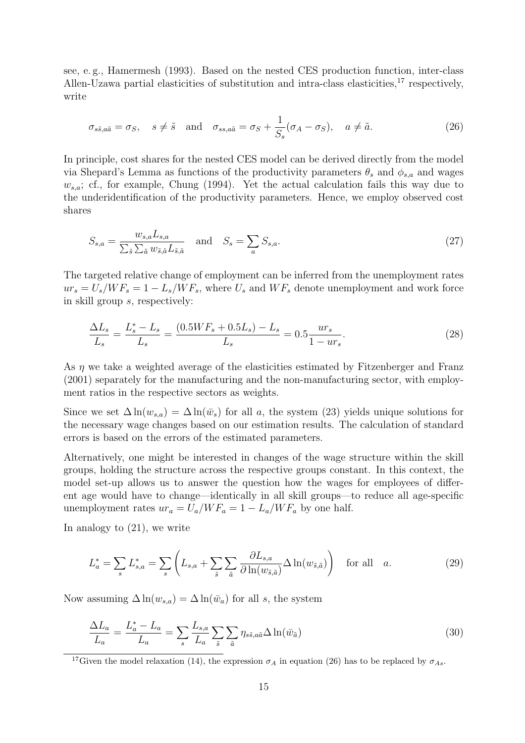see, e. g., Hamermesh (1993). Based on the nested CES production function, inter-class Allen-Uzawa partial elasticities of substitution and intra-class elasticities,  $17$  respectively, write

$$
\sigma_{s\tilde{s},a\tilde{a}} = \sigma_S, \quad s \neq \tilde{s} \quad \text{and} \quad \sigma_{ss,a\tilde{a}} = \sigma_S + \frac{1}{S_s}(\sigma_A - \sigma_S), \quad a \neq \tilde{a}.\tag{26}
$$

In principle, cost shares for the nested CES model can be derived directly from the model via Shepard's Lemma as functions of the productivity parameters  $\theta_s$  and  $\phi_{s,a}$  and wages  $w_{s,a}$ ; cf., for example, Chung (1994). Yet the actual calculation fails this way due to the underidentification of the productivity parameters. Hence, we employ observed cost shares

$$
S_{s,a} = \frac{w_{s,a} L_{s,a}}{\sum_{\tilde{s}} \sum_{\tilde{a}} w_{\tilde{s},\tilde{a}} L_{\tilde{s},\tilde{a}}} \quad \text{and} \quad S_s = \sum_{a} S_{s,a}.\tag{27}
$$

The targeted relative change of employment can be inferred from the unemployment rates  $ur_s = U_s/WF_s = 1 - L_s/WF_s$ , where  $U_s$  and  $WF_s$  denote unemployment and work force in skill group s, respectively:

$$
\frac{\Delta L_s}{L_s} = \frac{L_s^* - L_s}{L_s} = \frac{(0.5WF_s + 0.5L_s) - L_s}{L_s} = 0.5 \frac{ur_s}{1 - ur_s}.
$$
\n(28)

As  $\eta$  we take a weighted average of the elasticities estimated by Fitzenberger and Franz (2001) separately for the manufacturing and the non-manufacturing sector, with employment ratios in the respective sectors as weights.

Since we set  $\Delta \ln(w_{s,a}) = \Delta \ln(\bar{w}_s)$  for all a, the system (23) yields unique solutions for the necessary wage changes based on our estimation results. The calculation of standard errors is based on the errors of the estimated parameters.

Alternatively, one might be interested in changes of the wage structure within the skill groups, holding the structure across the respective groups constant. In this context, the model set-up allows us to answer the question how the wages for employees of different age would have to change—identically in all skill groups—to reduce all age-specific unemployment rates  $ur_a = U_a/WF_a = 1 - L_a/WF_a$  by one half.

In analogy to (21), we write

$$
L_a^* = \sum_s L_{s,a}^* = \sum_s \left( L_{s,a} + \sum_{\tilde{s}} \sum_{\tilde{a}} \frac{\partial L_{s,a}}{\partial \ln(w_{\tilde{s},\tilde{a}})} \Delta \ln(w_{\tilde{s},\tilde{a}}) \right) \text{ for all } a.
$$
 (29)

Now assuming  $\Delta \ln(w_{s,a}) = \Delta \ln(\bar{w}_a)$  for all s, the system

$$
\frac{\Delta L_a}{L_a} = \frac{L_a^* - L_a}{L_a} = \sum_s \frac{L_{s,a}}{L_a} \sum_{\tilde{s}} \sum_{\tilde{a}} \eta_{s\tilde{s},a\tilde{a}} \Delta \ln(\bar{w}_{\tilde{a}})
$$
(30)

<sup>17</sup>Given the model relaxation (14), the expression  $\sigma_A$  in equation (26) has to be replaced by  $\sigma_{As}$ .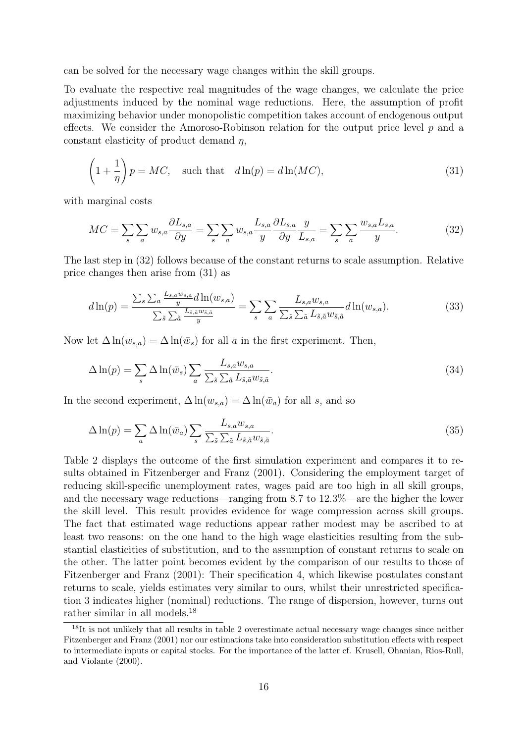can be solved for the necessary wage changes within the skill groups.

To evaluate the respective real magnitudes of the wage changes, we calculate the price adjustments induced by the nominal wage reductions. Here, the assumption of profit maximizing behavior under monopolistic competition takes account of endogenous output effects. We consider the Amoroso-Robinson relation for the output price level  $p$  and a constant elasticity of product demand  $\eta$ ,

$$
\left(1 + \frac{1}{\eta}\right)p = MC, \quad \text{such that} \quad d\ln(p) = d\ln(MC),\tag{31}
$$

with marginal costs

$$
MC = \sum_{s} \sum_{a} w_{s,a} \frac{\partial L_{s,a}}{\partial y} = \sum_{s} \sum_{a} w_{s,a} \frac{L_{s,a}}{y} \frac{\partial L_{s,a}}{\partial y} \frac{y}{L_{s,a}} = \sum_{s} \sum_{a} \frac{w_{s,a} L_{s,a}}{y}.
$$
 (32)

The last step in (32) follows because of the constant returns to scale assumption. Relative price changes then arise from (31) as

$$
d\ln(p) = \frac{\sum_{s}\sum_{a}\frac{L_{s,a}w_{s,a}}{y}d\ln(w_{s,a})}{\sum_{\tilde{s}}\sum_{\tilde{a}}\frac{L_{\tilde{s},\tilde{a}}w_{\tilde{s},\tilde{a}}}{y}} = \sum_{s}\sum_{a}\frac{L_{s,a}w_{s,a}}{\sum_{\tilde{s}}\sum_{\tilde{a}}L_{\tilde{s},\tilde{a}}w_{\tilde{s},\tilde{a}}}d\ln(w_{s,a}).
$$
\n(33)

Now let  $\Delta \ln(w_{s,a}) = \Delta \ln(\bar{w}_s)$  for all a in the first experiment. Then,

$$
\Delta \ln(p) = \sum_{s} \Delta \ln(\bar{w}_s) \sum_{a} \frac{L_{s,a} w_{s,a}}{\sum_{\tilde{s}} \sum_{\tilde{a}} L_{\tilde{s},\tilde{a}} w_{\tilde{s},\tilde{a}}}.
$$
\n(34)

In the second experiment,  $\Delta \ln(w_{s,a}) = \Delta \ln(\bar{w}_a)$  for all s, and so

$$
\Delta \ln(p) = \sum_{a} \Delta \ln(\bar{w}_a) \sum_{s} \frac{L_{s,a} w_{s,a}}{\sum_{\tilde{s}} \sum_{\tilde{a}} L_{\tilde{s},\tilde{a}} w_{\tilde{s},\tilde{a}}}.
$$
\n(35)

Table 2 displays the outcome of the first simulation experiment and compares it to results obtained in Fitzenberger and Franz (2001). Considering the employment target of reducing skill-specific unemployment rates, wages paid are too high in all skill groups, and the necessary wage reductions—ranging from 8.7 to 12.3%—are the higher the lower the skill level. This result provides evidence for wage compression across skill groups. The fact that estimated wage reductions appear rather modest may be ascribed to at least two reasons: on the one hand to the high wage elasticities resulting from the substantial elasticities of substitution, and to the assumption of constant returns to scale on the other. The latter point becomes evident by the comparison of our results to those of Fitzenberger and Franz (2001): Their specification 4, which likewise postulates constant returns to scale, yields estimates very similar to ours, whilst their unrestricted specification 3 indicates higher (nominal) reductions. The range of dispersion, however, turns out rather similar in all models.<sup>18</sup>

<sup>&</sup>lt;sup>18</sup>It is not unlikely that all results in table 2 overestimate actual necessary wage changes since neither Fitzenberger and Franz (2001) nor our estimations take into consideration substitution effects with respect to intermediate inputs or capital stocks. For the importance of the latter cf. Krusell, Ohanian, Rios-Rull, and Violante (2000).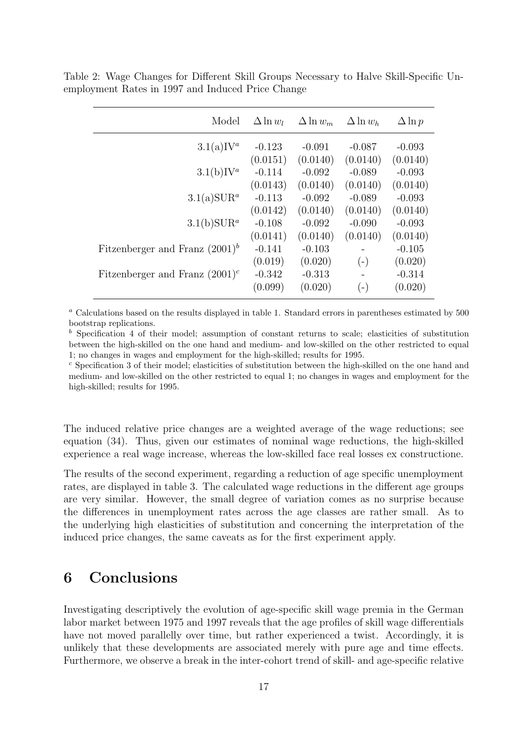| Model                             | $\Delta \ln w_l$ | $\Delta \ln w_m$ | $\Delta \ln w_h$ | $\Delta \ln p$ |
|-----------------------------------|------------------|------------------|------------------|----------------|
| $3.1(a)$ IV <sup>a</sup>          | $-0.123$         | $-0.091$         | $-0.087$         | $-0.093$       |
|                                   | (0.0151)         | (0.0140)         | (0.0140)         | (0.0140)       |
| $3.1(b)$ IV <sup>a</sup>          | $-0.114$         | $-0.092$         | $-0.089$         | $-0.093$       |
|                                   | (0.0143)         | (0.0140)         | (0.0140)         | (0.0140)       |
| $3.1(a)$ SUR <sup>a</sup>         | $-0.113$         | $-0.092$         | $-0.089$         | $-0.093$       |
|                                   | (0.0142)         | (0.0140)         | (0.0140)         | (0.0140)       |
| $3.1(b)$ SUR <sup>a</sup>         | $-0.108$         | $-0.092$         | $-0.090$         | $-0.093$       |
|                                   | (0.0141)         | (0.0140)         | (0.0140)         | (0.0140)       |
| Fitzenberger and Franz $(2001)^b$ | $-0.141$         | $-0.103$         |                  | $-0.105$       |
|                                   | (0.019)          | (0.020)          | $(-)$            | (0.020)        |
| Fitzenberger and Franz $(2001)^c$ | $-0.342$         | $-0.313$         |                  | $-0.314$       |
|                                   | (0.099)          | (0.020)          | $(-)$            | (0.020)        |

Table 2: Wage Changes for Different Skill Groups Necessary to Halve Skill-Specific Unemployment Rates in 1997 and Induced Price Change

<sup>a</sup> Calculations based on the results displayed in table 1. Standard errors in parentheses estimated by 500 bootstrap replications.

 $\bar{b}$  Specification 4 of their model; assumption of constant returns to scale; elasticities of substitution between the high-skilled on the one hand and medium- and low-skilled on the other restricted to equal 1; no changes in wages and employment for the high-skilled; results for 1995.

<sup>c</sup> Specification 3 of their model; elasticities of substitution between the high-skilled on the one hand and medium- and low-skilled on the other restricted to equal 1; no changes in wages and employment for the high-skilled; results for 1995.

The induced relative price changes are a weighted average of the wage reductions; see equation (34). Thus, given our estimates of nominal wage reductions, the high-skilled experience a real wage increase, whereas the low-skilled face real losses ex constructione.

The results of the second experiment, regarding a reduction of age specific unemployment rates, are displayed in table 3. The calculated wage reductions in the different age groups are very similar. However, the small degree of variation comes as no surprise because the differences in unemployment rates across the age classes are rather small. As to the underlying high elasticities of substitution and concerning the interpretation of the induced price changes, the same caveats as for the first experiment apply.

## 6 Conclusions

Investigating descriptively the evolution of age-specific skill wage premia in the German labor market between 1975 and 1997 reveals that the age profiles of skill wage differentials have not moved parallelly over time, but rather experienced a twist. Accordingly, it is unlikely that these developments are associated merely with pure age and time effects. Furthermore, we observe a break in the inter-cohort trend of skill- and age-specific relative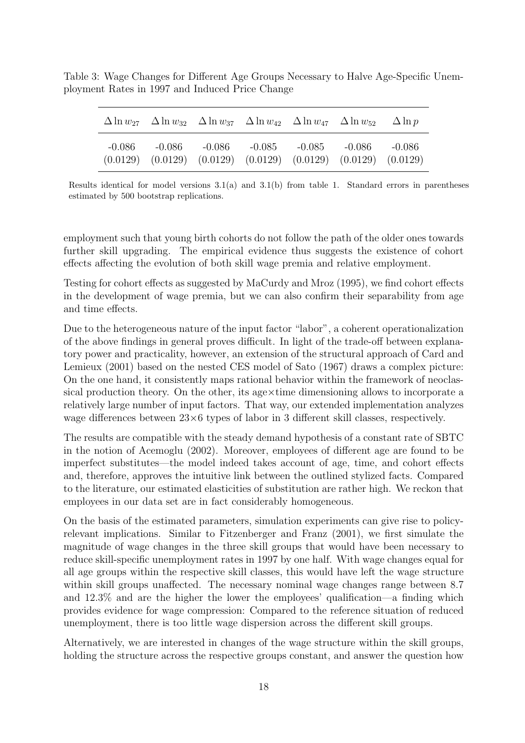Table 3: Wage Changes for Different Age Groups Necessary to Halve Age-Specific Unemployment Rates in 1997 and Induced Price Change

| $\Delta \ln w_{27} \quad \Delta \ln w_{32} \quad \Delta \ln w_{37} \quad \Delta \ln w_{42} \quad \Delta \ln w_{47} \quad \Delta \ln w_{52} \quad \Delta \ln p$ |  |  |  |
|----------------------------------------------------------------------------------------------------------------------------------------------------------------|--|--|--|
| $-0.086$ $-0.086$ $-0.086$ $-0.085$ $-0.085$ $-0.086$ $-0.086$<br>$(0.0129)$ $(0.0129)$ $(0.0129)$ $(0.0129)$ $(0.0129)$ $(0.0129)$ $(0.0129)$                 |  |  |  |

Results identical for model versions  $3.1(a)$  and  $3.1(b)$  from table 1. Standard errors in parentheses estimated by 500 bootstrap replications.

employment such that young birth cohorts do not follow the path of the older ones towards further skill upgrading. The empirical evidence thus suggests the existence of cohort effects affecting the evolution of both skill wage premia and relative employment.

Testing for cohort effects as suggested by MaCurdy and Mroz (1995), we find cohort effects in the development of wage premia, but we can also confirm their separability from age and time effects.

Due to the heterogeneous nature of the input factor "labor", a coherent operationalization of the above findings in general proves difficult. In light of the trade-off between explanatory power and practicality, however, an extension of the structural approach of Card and Lemieux (2001) based on the nested CES model of Sato (1967) draws a complex picture: On the one hand, it consistently maps rational behavior within the framework of neoclassical production theory. On the other, its age $\times$ time dimensioning allows to incorporate a relatively large number of input factors. That way, our extended implementation analyzes wage differences between  $23\times6$  types of labor in 3 different skill classes, respectively.

The results are compatible with the steady demand hypothesis of a constant rate of SBTC in the notion of Acemoglu (2002). Moreover, employees of different age are found to be imperfect substitutes—the model indeed takes account of age, time, and cohort effects and, therefore, approves the intuitive link between the outlined stylized facts. Compared to the literature, our estimated elasticities of substitution are rather high. We reckon that employees in our data set are in fact considerably homogeneous.

On the basis of the estimated parameters, simulation experiments can give rise to policyrelevant implications. Similar to Fitzenberger and Franz (2001), we first simulate the magnitude of wage changes in the three skill groups that would have been necessary to reduce skill-specific unemployment rates in 1997 by one half. With wage changes equal for all age groups within the respective skill classes, this would have left the wage structure within skill groups unaffected. The necessary nominal wage changes range between 8.7 and 12.3% and are the higher the lower the employees' qualification—a finding which provides evidence for wage compression: Compared to the reference situation of reduced unemployment, there is too little wage dispersion across the different skill groups.

Alternatively, we are interested in changes of the wage structure within the skill groups, holding the structure across the respective groups constant, and answer the question how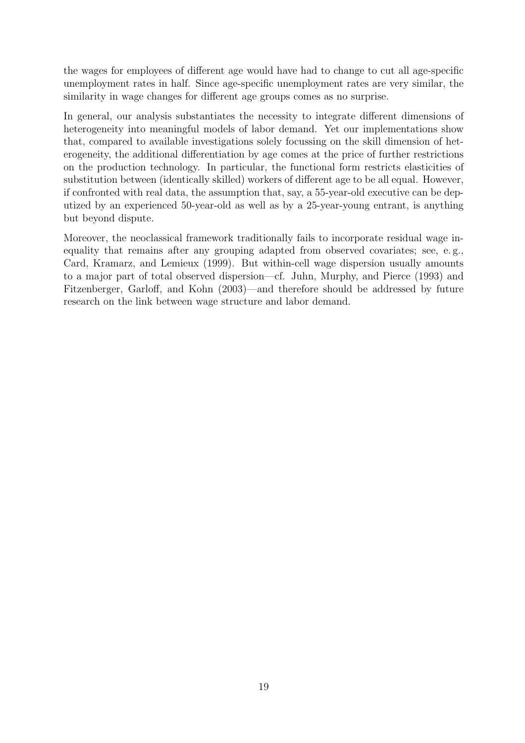the wages for employees of different age would have had to change to cut all age-specific unemployment rates in half. Since age-specific unemployment rates are very similar, the similarity in wage changes for different age groups comes as no surprise.

In general, our analysis substantiates the necessity to integrate different dimensions of heterogeneity into meaningful models of labor demand. Yet our implementations show that, compared to available investigations solely focussing on the skill dimension of heterogeneity, the additional differentiation by age comes at the price of further restrictions on the production technology. In particular, the functional form restricts elasticities of substitution between (identically skilled) workers of different age to be all equal. However, if confronted with real data, the assumption that, say, a 55-year-old executive can be deputized by an experienced 50-year-old as well as by a 25-year-young entrant, is anything but beyond dispute.

Moreover, the neoclassical framework traditionally fails to incorporate residual wage inequality that remains after any grouping adapted from observed covariates; see, e. g., Card, Kramarz, and Lemieux (1999). But within-cell wage dispersion usually amounts to a major part of total observed dispersion—cf. Juhn, Murphy, and Pierce (1993) and Fitzenberger, Garloff, and Kohn (2003)—and therefore should be addressed by future research on the link between wage structure and labor demand.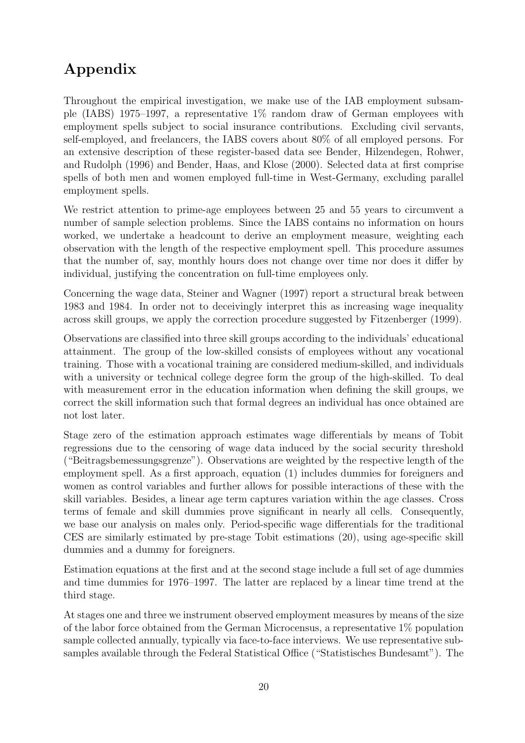# Appendix

Throughout the empirical investigation, we make use of the IAB employment subsample (IABS) 1975–1997, a representative 1% random draw of German employees with employment spells subject to social insurance contributions. Excluding civil servants, self-employed, and freelancers, the IABS covers about 80% of all employed persons. For an extensive description of these register-based data see Bender, Hilzendegen, Rohwer, and Rudolph (1996) and Bender, Haas, and Klose (2000). Selected data at first comprise spells of both men and women employed full-time in West-Germany, excluding parallel employment spells.

We restrict attention to prime-age employees between 25 and 55 years to circumvent a number of sample selection problems. Since the IABS contains no information on hours worked, we undertake a headcount to derive an employment measure, weighting each observation with the length of the respective employment spell. This procedure assumes that the number of, say, monthly hours does not change over time nor does it differ by individual, justifying the concentration on full-time employees only.

Concerning the wage data, Steiner and Wagner (1997) report a structural break between 1983 and 1984. In order not to deceivingly interpret this as increasing wage inequality across skill groups, we apply the correction procedure suggested by Fitzenberger (1999).

Observations are classified into three skill groups according to the individuals' educational attainment. The group of the low-skilled consists of employees without any vocational training. Those with a vocational training are considered medium-skilled, and individuals with a university or technical college degree form the group of the high-skilled. To deal with measurement error in the education information when defining the skill groups, we correct the skill information such that formal degrees an individual has once obtained are not lost later.

Stage zero of the estimation approach estimates wage differentials by means of Tobit regressions due to the censoring of wage data induced by the social security threshold ("Beitragsbemessungsgrenze"). Observations are weighted by the respective length of the employment spell. As a first approach, equation (1) includes dummies for foreigners and women as control variables and further allows for possible interactions of these with the skill variables. Besides, a linear age term captures variation within the age classes. Cross terms of female and skill dummies prove significant in nearly all cells. Consequently, we base our analysis on males only. Period-specific wage differentials for the traditional CES are similarly estimated by pre-stage Tobit estimations (20), using age-specific skill dummies and a dummy for foreigners.

Estimation equations at the first and at the second stage include a full set of age dummies and time dummies for 1976–1997. The latter are replaced by a linear time trend at the third stage.

At stages one and three we instrument observed employment measures by means of the size of the labor force obtained from the German Microcensus, a representative 1% population sample collected annually, typically via face-to-face interviews. We use representative subsamples available through the Federal Statistical Office ("Statistisches Bundesamt"). The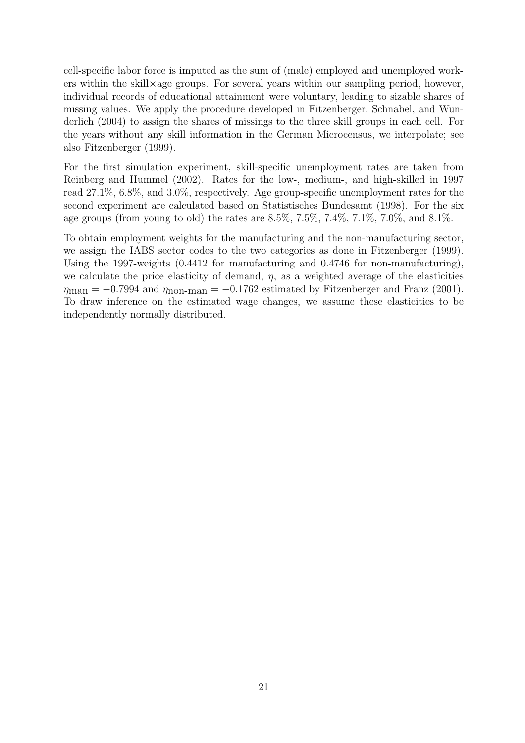cell-specific labor force is imputed as the sum of (male) employed and unemployed workers within the skill $\times$ age groups. For several years within our sampling period, however, individual records of educational attainment were voluntary, leading to sizable shares of missing values. We apply the procedure developed in Fitzenberger, Schnabel, and Wunderlich (2004) to assign the shares of missings to the three skill groups in each cell. For the years without any skill information in the German Microcensus, we interpolate; see also Fitzenberger (1999).

For the first simulation experiment, skill-specific unemployment rates are taken from Reinberg and Hummel (2002). Rates for the low-, medium-, and high-skilled in 1997 read 27.1%, 6.8%, and 3.0%, respectively. Age group-specific unemployment rates for the second experiment are calculated based on Statistisches Bundesamt (1998). For the six age groups (from young to old) the rates are 8.5%, 7.5%, 7.4%, 7.1%, 7.0%, and 8.1%.

To obtain employment weights for the manufacturing and the non-manufacturing sector, we assign the IABS sector codes to the two categories as done in Fitzenberger (1999). Using the 1997-weights (0.4412 for manufacturing and 0.4746 for non-manufacturing), we calculate the price elasticity of demand,  $\eta$ , as a weighted average of the elasticities  $\eta_{\text{man}} = -0.7994$  and  $\eta_{\text{non-man}} = -0.1762$  estimated by Fitzenberger and Franz (2001). To draw inference on the estimated wage changes, we assume these elasticities to be independently normally distributed.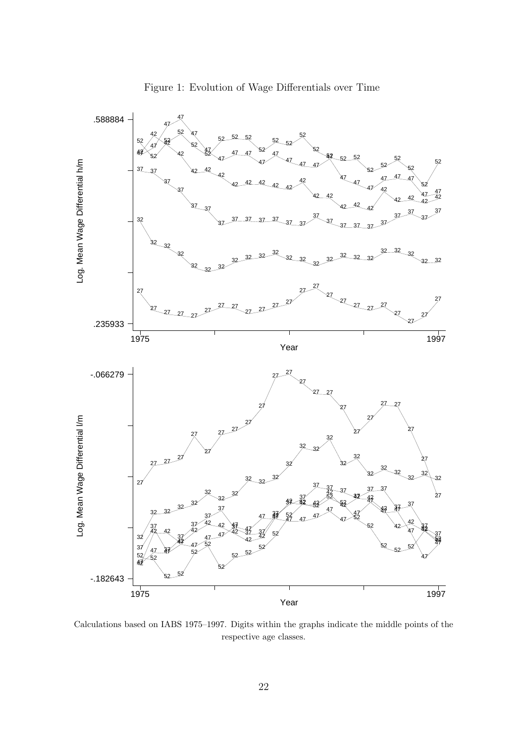

Figure 1: Evolution of Wage Differentials over Time

Calculations based on IABS 1975–1997. Digits within the graphs indicate the middle points of the respective age classes.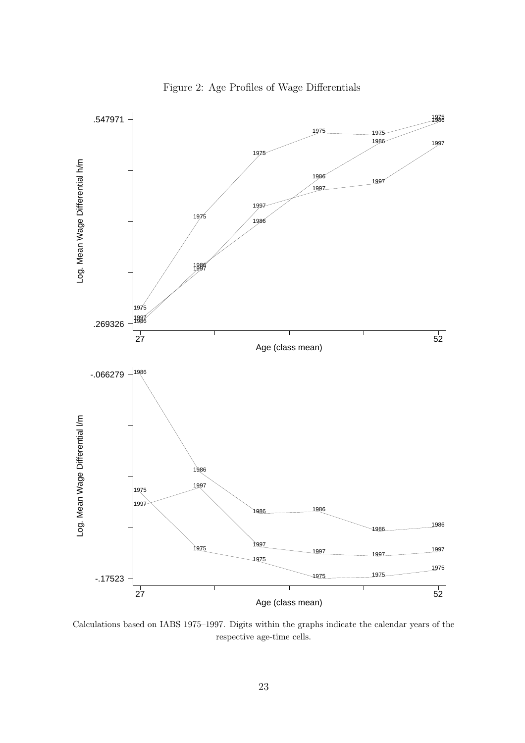

Figure 2: Age Profiles of Wage Differentials

Calculations based on IABS 1975–1997. Digits within the graphs indicate the calendar years of the respective age-time cells.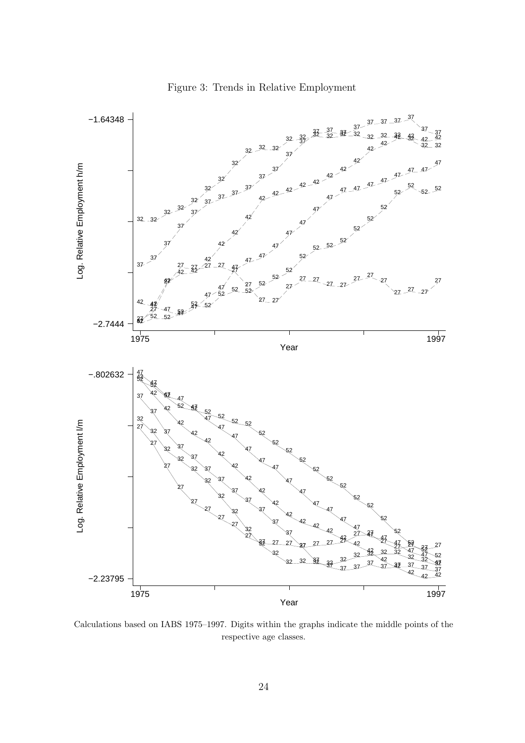

Figure 3: Trends in Relative Employment

Calculations based on IABS 1975–1997. Digits within the graphs indicate the middle points of the respective age classes.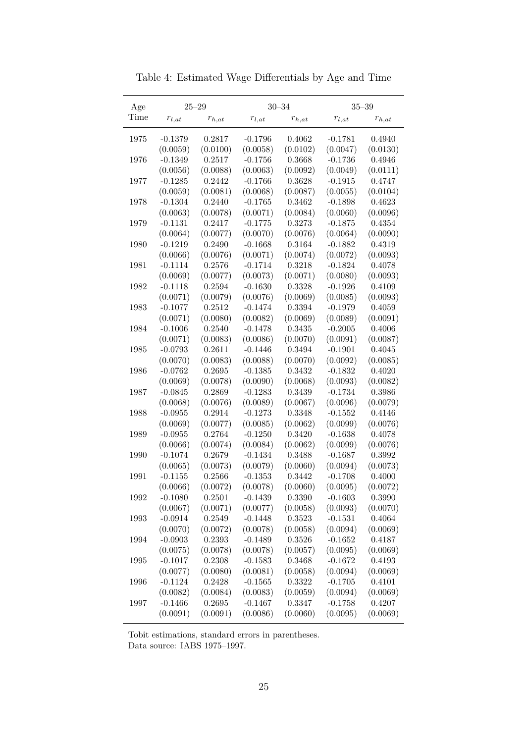| Age  |            | $25 - 29$  |            | $30 - 34$  |            | $35 - 39$  |
|------|------------|------------|------------|------------|------------|------------|
| Time | $r_{l,at}$ | $r_{h,at}$ | $r_{l,at}$ | $r_{h,at}$ | $r_{l,at}$ | $r_{h,at}$ |
| 1975 | $-0.1379$  | 0.2817     | $-0.1796$  | 0.4062     | $-0.1781$  | 0.4940     |
|      | (0.0059)   | (0.0100)   | (0.0058)   | (0.0102)   | (0.0047)   | (0.0130)   |
| 1976 | $-0.1349$  | 0.2517     | $-0.1756$  | 0.3668     | $-0.1736$  | 0.4946     |
|      | (0.0056)   | (0.0088)   | (0.0063)   | (0.0092)   | (0.0049)   | (0.0111)   |
| 1977 | $-0.1285$  | 0.2442     | $-0.1766$  | 0.3628     | $-0.1915$  | 0.4747     |
|      | (0.0059)   | (0.0081)   | (0.0068)   | (0.0087)   | (0.0055)   | (0.0104)   |
| 1978 | $-0.1304$  | 0.2440     | $-0.1765$  | 0.3462     | $-0.1898$  | 0.4623     |
|      | (0.0063)   | (0.0078)   | (0.0071)   | (0.0084)   | (0.0060)   | (0.0096)   |
| 1979 | $-0.1131$  | 0.2417     | $-0.1775$  | 0.3273     | $-0.1875$  | 0.4354     |
|      | (0.0064)   | (0.0077)   | (0.0070)   | (0.0076)   | (0.0064)   | (0.0090)   |
| 1980 | $-0.1219$  | 0.2490     | $-0.1668$  | 0.3164     | $-0.1882$  | 0.4319     |
|      | (0.0066)   | (0.0076)   | (0.0071)   | (0.0074)   | (0.0072)   | (0.0093)   |
| 1981 | $-0.1114$  | 0.2576     | $-0.1714$  | 0.3218     | $-0.1824$  | 0.4078     |
|      | (0.0069)   | (0.0077)   | (0.0073)   | (0.0071)   | (0.0080)   | (0.0093)   |
| 1982 | $-0.1118$  | 0.2594     | $-0.1630$  | 0.3328     | $-0.1926$  | 0.4109     |
|      | (0.0071)   | (0.0079)   | (0.0076)   | (0.0069)   | (0.0085)   | (0.0093)   |
| 1983 | $-0.1077$  | 0.2512     | $-0.1474$  | 0.3394     | $-0.1979$  | 0.4059     |
|      | (0.0071)   | (0.0080)   | (0.0082)   | (0.0069)   | (0.0089)   | (0.0091)   |
| 1984 | $-0.1006$  | 0.2540     | $-0.1478$  | 0.3435     | $-0.2005$  | 0.4006     |
|      | (0.0071)   | (0.0083)   | (0.0086)   | (0.0070)   | (0.0091)   | (0.0087)   |
| 1985 | $-0.0793$  | 0.2611     | $-0.1446$  | 0.3494     | $-0.1901$  | 0.4045     |
|      | (0.0070)   | (0.0083)   | (0.0088)   | (0.0070)   | (0.0092)   | (0.0085)   |
| 1986 | $-0.0762$  | 0.2695     | $-0.1385$  | 0.3432     | $-0.1832$  | 0.4020     |
|      | (0.0069)   |            |            |            |            | (0.0082)   |
|      |            | (0.0078)   | (0.0090)   | (0.0068)   | (0.0093)   |            |
| 1987 | $-0.0845$  | 0.2869     | $-0.1283$  | 0.3439     | $-0.1734$  | 0.3986     |
|      | (0.0068)   | (0.0076)   | (0.0089)   | (0.0067)   | (0.0096)   | (0.0079)   |
| 1988 | $-0.0955$  | 0.2914     | $-0.1273$  | 0.3348     | $-0.1552$  | 0.4146     |
|      | (0.0069)   | (0.0077)   | (0.0085)   | (0.0062)   | (0.0099)   | (0.0076)   |
| 1989 | $-0.0955$  | 0.2764     | $-0.1250$  | 0.3420     | $-0.1638$  | 0.4078     |
|      | (0.0066)   | (0.0074)   | (0.0084)   | (0.0062)   | (0.0099)   | (0.0076)   |
| 1990 | $-0.1074$  | 0.2679     | $-0.1434$  | 0.3488     | $-0.1687$  | 0.3992     |
|      | (0.0065)   | (0.0073)   | (0.0079)   | (0.0060)   | (0.0094)   | (0.0073)   |
| 1991 | $-0.1155$  | 0.2566     | $-0.1353$  | 0.3442     | $-0.1708$  | 0.4000     |
|      | (0.0066)   | (0.0072)   | (0.0078)   | (0.0060)   | (0.0095)   | (0.0072)   |
| 1992 | $-0.1080$  | 0.2501     | $-0.1439$  | 0.3390     | $-0.1603$  | 0.3990     |
|      | (0.0067)   | (0.0071)   | (0.0077)   | (0.0058)   | (0.0093)   | (0.0070)   |
| 1993 | $-0.0914$  | 0.2549     | $-0.1448$  | 0.3523     | $-0.1531$  | 0.4064     |
|      | (0.0070)   | (0.0072)   | (0.0078)   | (0.0058)   | (0.0094)   | (0.0069)   |
| 1994 | $-0.0903$  | 0.2393     | $-0.1489$  | 0.3526     | $-0.1652$  | 0.4187     |
|      | (0.0075)   | (0.0078)   | (0.0078)   | (0.0057)   | (0.0095)   | (0.0069)   |
| 1995 | $-0.1017$  | 0.2308     | $-0.1583$  | 0.3468     | $-0.1672$  | 0.4193     |
|      | (0.0077)   | (0.0080)   | (0.0081)   | (0.0058)   | (0.0094)   | (0.0069)   |
| 1996 | $-0.1124$  | 0.2428     | $-0.1565$  | 0.3322     | $-0.1705$  | 0.4101     |
|      | (0.0082)   | (0.0084)   | (0.0083)   | (0.0059)   | (0.0094)   | (0.0069)   |
| 1997 | $-0.1466$  | 0.2695     | $-0.1467$  | 0.3347     | $-0.1758$  | 0.4207     |
|      | (0.0091)   | (0.0091)   | (0.0086)   | (0.0060)   | (0.0095)   | (0.0069)   |

Table 4: Estimated Wage Differentials by Age and Time

Tobit estimations, standard errors in parentheses.

Data source: IABS 1975–1997.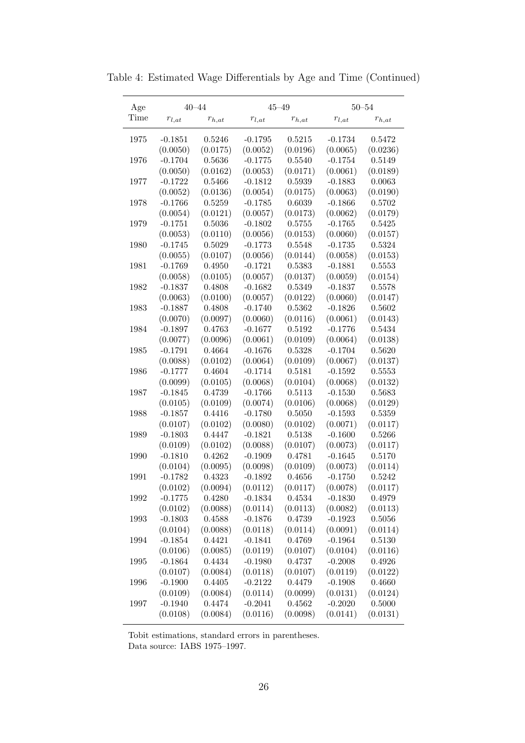| Age  |            | $40 - 44$  |            | $45 - 49$  | $50 - 54$  |            |  |
|------|------------|------------|------------|------------|------------|------------|--|
| Time | $r_{l,at}$ | $r_{h,at}$ | $r_{l,at}$ | $r_{h,at}$ | $r_{l,at}$ | $r_{h,at}$ |  |
|      |            |            |            |            |            |            |  |
| 1975 | $-0.1851$  | 0.5246     | $-0.1795$  | 0.5215     | $-0.1734$  | 0.5472     |  |
|      | (0.0050)   | (0.0175)   | (0.0052)   | (0.0196)   | (0.0065)   | (0.0236)   |  |
| 1976 | $-0.1704$  | 0.5636     | $-0.1775$  | 0.5540     | $-0.1754$  | 0.5149     |  |
|      | (0.0050)   | (0.0162)   | (0.0053)   | (0.0171)   | (0.0061)   | (0.0189)   |  |
| 1977 | $-0.1722$  | 0.5466     | $-0.1812$  | 0.5939     | $-0.1883$  | 0.0063     |  |
|      | (0.0052)   | (0.0136)   | (0.0054)   | (0.0175)   | (0.0063)   | (0.0190)   |  |
| 1978 | $-0.1766$  | 0.5259     | $-0.1785$  | 0.6039     | $-0.1866$  | 0.5702     |  |
|      | (0.0054)   | (0.0121)   | (0.0057)   | (0.0173)   | (0.0062)   | (0.0179)   |  |
| 1979 | $-0.1751$  | 0.5036     | $-0.1802$  | 0.5755     | $-0.1765$  | 0.5425     |  |
|      | (0.0053)   | (0.0110)   | (0.0056)   | (0.0153)   | (0.0060)   | (0.0157)   |  |
| 1980 | $-0.1745$  | 0.5029     | $-0.1773$  | 0.5548     | $-0.1735$  | 0.5324     |  |
|      | (0.0055)   | (0.0107)   | (0.0056)   | (0.0144)   | (0.0058)   | (0.0153)   |  |
| 1981 | $-0.1769$  | 0.4950     | $-0.1721$  | 0.5383     | $-0.1881$  | 0.5553     |  |
|      | (0.0058)   | (0.0105)   | (0.0057)   | (0.0137)   | (0.0059)   | (0.0154)   |  |
| 1982 | $-0.1837$  | 0.4808     | $-0.1682$  | 0.5349     | $-0.1837$  | 0.5578     |  |
|      | (0.0063)   | (0.0100)   | (0.0057)   | (0.0122)   | (0.0060)   | (0.0147)   |  |
| 1983 | $-0.1887$  | 0.4808     | $-0.1740$  | 0.5362     | $-0.1826$  | 0.5602     |  |
|      | (0.0070)   | (0.0097)   | (0.0060)   | (0.0116)   | (0.0061)   | (0.0143)   |  |
| 1984 | $-0.1897$  | 0.4763     | $-0.1677$  | 0.5192     | $-0.1776$  | 0.5434     |  |
|      | (0.0077)   | (0.0096)   | (0.0061)   | (0.0109)   | (0.0064)   | (0.0138)   |  |
| 1985 | $-0.1791$  | 0.4664     | $-0.1676$  | 0.5328     | $-0.1704$  | 0.5620     |  |
|      | (0.0088)   | (0.0102)   | (0.0064)   | (0.0109)   | (0.0067)   | (0.0137)   |  |
| 1986 | $-0.1777$  | 0.4604     | $-0.1714$  | 0.5181     | $-0.1592$  | 0.5553     |  |
|      | (0.0099)   | (0.0105)   | (0.0068)   | (0.0104)   | (0.0068)   | (0.0132)   |  |
| 1987 | $-0.1845$  | 0.4739     | $-0.1766$  | 0.5113     | $-0.1530$  | 0.5683     |  |
|      | (0.0105)   | (0.0109)   | (0.0074)   | (0.0106)   | (0.0068)   | (0.0129)   |  |
| 1988 | $-0.1857$  | 0.4416     | $-0.1780$  | 0.5050     | $-0.1593$  | 0.5359     |  |
|      | (0.0107)   | (0.0102)   | (0.0080)   | (0.0102)   | (0.0071)   | (0.0117)   |  |
| 1989 | $-0.1803$  | 0.4447     | $-0.1821$  | 0.5138     | $-0.1600$  | 0.5266     |  |
|      | (0.0109)   | (0.0102)   | (0.0088)   | (0.0107)   | (0.0073)   | (0.0117)   |  |
| 1990 | $-0.1810$  | 0.4262     | $-0.1909$  | 0.4781     | $-0.1645$  | 0.5170     |  |
|      | (0.0104)   | (0.0095)   | (0.0098)   | (0.0109)   | (0.0073)   | (0.0114)   |  |
| 1991 | $-0.1782$  | 0.4323     | $-0.1892$  | 0.4656     | $-0.1750$  | 0.5242     |  |
|      | (0.0102)   | (0.0094)   | (0.0112)   | (0.0117)   | (0.0078)   | (0.0117)   |  |
| 1992 | $-0.1775$  | 0.4280     | $-0.1834$  | 0.4534     | $-0.1830$  | 0.4979     |  |
|      | (0.0102)   | (0.0088)   | (0.0114)   | (0.0113)   | (0.0082)   | (0.0113)   |  |
| 1993 | $-0.1803$  | 0.4588     | $-0.1876$  | 0.4739     | $-0.1923$  | 0.5056     |  |
|      | (0.0104)   | (0.0088)   | (0.0118)   | (0.0114)   | (0.0091)   | (0.0114)   |  |
| 1994 | $-0.1854$  | 0.4421     | $-0.1841$  | 0.4769     | $-0.1964$  | 0.5130     |  |
|      | (0.0106)   | (0.0085)   | (0.0119)   | (0.0107)   | (0.0104)   | (0.0116)   |  |
| 1995 | $-0.1864$  | 0.4434     | $-0.1980$  | 0.4737     | $-0.2008$  | 0.4926     |  |
|      | (0.0107)   | (0.0084)   | (0.0118)   | (0.0107)   | (0.0119)   | (0.0122)   |  |
| 1996 | $-0.1900$  | 0.4405     | $-0.2122$  | 0.4479     | $-0.1908$  | 0.4660     |  |
|      | (0.0109)   | (0.0084)   | (0.0114)   | (0.0099)   | (0.0131)   | (0.0124)   |  |
| 1997 | $-0.1940$  | 0.4474     | $-0.2041$  | 0.4562     | $-0.2020$  | 0.5000     |  |
|      | (0.0108)   | (0.0084)   | (0.0116)   | (0.0098)   | (0.0141)   | (0.0131)   |  |
|      |            |            |            |            |            |            |  |

Table 4: Estimated Wage Differentials by Age and Time (Continued)

Tobit estimations, standard errors in parentheses.

Data source: IABS 1975–1997.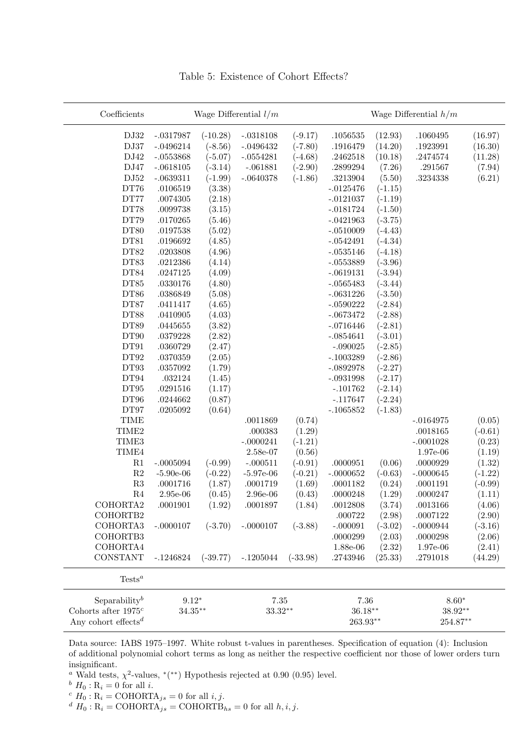| $\operatorname{Coefficients}$ |               |            | Wage Differential $l/m$ |            |             |           | Wage Differential $h/m$ |           |
|-------------------------------|---------------|------------|-------------------------|------------|-------------|-----------|-------------------------|-----------|
| DJ32                          | $-.0317987$   | $(-10.28)$ | $-.0318108$             | $(-9.17)$  | .1056535    | (12.93)   | .1060495                | (16.97)   |
| $\rm{DJ37}$                   | $-.0496214$   | $(-8.56)$  | $-.0496432$             | $(-7.80)$  | .1916479    | (14.20)   | .1923991                | (16.30)   |
| $\rm DJ42$                    | $-.0553868$   | $(-5.07)$  | $-.0554281$             | $(-4.68)$  | .2462518    | (10.18)   | .2474574                | (11.28)   |
| DJ47                          | $-.0618105$   | $(-3.14)$  | $-.061881$              | $(-2.90)$  | .2899294    | (7.26)    | .291567                 | (7.94)    |
| $\rm{DJ52}$                   | $-.0639311\,$ | $(-1.99)$  | $-.0640378$             | $(-1.86)$  | .3213904    | (5.50)    | .3234338                | (6.21)    |
| DT76                          | .0106519      | (3.38)     |                         |            | $-.0125476$ | $(-1.15)$ |                         |           |
| DT77                          | .0074305      | (2.18)     |                         |            | $-.0121037$ | $(-1.19)$ |                         |           |
| $\rm DT78$                    | .0099738      | (3.15)     |                         |            | $-.0181724$ | $(-1.50)$ |                         |           |
| DT79                          | .0170265      | (5.46)     |                         |            | $-.0421963$ | $(-3.75)$ |                         |           |
| DT80                          | .0197538      | (5.02)     |                         |            | $-.0510009$ | $(-4.43)$ |                         |           |
| DT81                          | .0196692      | (4.85)     |                         |            | $-.0542491$ | $(-4.34)$ |                         |           |
| DT82                          | .0203808      | (4.96)     |                         |            | $-.0535146$ | $(-4.18)$ |                         |           |
| DT83                          | .0212386      | (4.14)     |                         |            | $-.0553889$ | $(-3.96)$ |                         |           |
| DT84                          | .0247125      | (4.09)     |                         |            | $-.0619131$ | $(-3.94)$ |                         |           |
| $\rm DT85$                    | .0330176      | (4.80)     |                         |            | $-.0565483$ | $(-3.44)$ |                         |           |
| DT86                          | .0386849      | (5.08)     |                         |            | $-.0631226$ | $(-3.50)$ |                         |           |
| $\rm DT87$                    | .0411417      | (4.65)     |                         |            | $-.0590222$ | $(-2.84)$ |                         |           |
| DT88                          | .0410905      | (4.03)     |                         |            | $-.0673472$ | $(-2.88)$ |                         |           |
| DT89                          | .0445655      | (3.82)     |                         |            | $-.0716446$ | $(-2.81)$ |                         |           |
| DT90                          | .0379228      | (2.82)     |                         |            | $-.0854641$ | $(-3.01)$ |                         |           |
| DT91                          | .0360729      | (2.47)     |                         |            | $-.090025$  | $(-2.85)$ |                         |           |
| $\rm DT92$                    | .0370359      | (2.05)     |                         |            | $-.1003289$ | $(-2.86)$ |                         |           |
| DT93                          | .0357092      | (1.79)     |                         |            | $-.0892978$ | $(-2.27)$ |                         |           |
| DT94                          | .032124       | (1.45)     |                         |            | $-.0931998$ | $(-2.17)$ |                         |           |
| $\rm DT95$                    | .0291516      | (1.17)     |                         |            | $-.101762$  | $(-2.14)$ |                         |           |
| DT96                          | .0244662      | (0.87)     |                         |            | $-.117647$  | $(-2.24)$ |                         |           |
| DT97                          | .0205092      | (0.64)     |                         |            | $-.1065852$ | $(-1.83)$ |                         |           |
| <b>TIME</b>                   |               |            | .0011869                | (0.74)     |             |           | $-.0164975$             | (0.05)    |
| TIME <sub>2</sub>             |               |            | .000383                 | (1.29)     |             |           | .0018165                | $(-0.61)$ |
| TIME3                         |               |            | $-.0000241$             | $(-1.21)$  |             |           | $-.0001028$             | (0.23)    |
| TIME4                         |               |            | 2.58e-07                | (0.56)     |             |           | 1.97e-06                | (1.19)    |
| R1                            | $-.0005094$   | $(-0.99)$  | $-.000511$              | $(-0.91)$  | .0000951    | (0.06)    | .0000929                | (1.32)    |
| $\mathbf{R}2$                 | $-5.90e-06$   | $(-0.22)$  | $-5.97e-06$             | $(-0.21)$  | $-.0000652$ | $(-0.63)$ | $-.0000645$             | $(-1.22)$ |
| $\mathbf{R}3$                 | .0001716      | (1.87)     | .0001719                | (1.69)     | .0001182    | (0.24)    | .0001191                | $(-0.99)$ |
| R4                            | $2.95e-06$    | (0.45)     | $2.96e-06$              | (0.43)     | .0000248    | (1.29)    | .0000247                | (1.11)    |
| COHORTA2                      | .0001901      | (1.92)     | $.0001897\,$            | (1.84)     | .0012808    | (3.74)    | .0013166                | (4.06)    |
| COHORTB2                      |               |            |                         |            | .000722     | (2.98)    | .0007122                | (2.90)    |
| COHORTA3                      | $-.0000107$   | $(-3.70)$  | $-.0000107$             | $(-3.88)$  | $-.000091$  | $(-3.02)$ | $-.0000944$             | $(-3.16)$ |
| COHORTB3                      |               |            |                         |            | .0000299    | (2.03)    | .0000298                | (2.06)    |
| COHORTA4                      |               |            |                         |            | 1.88e-06    | (2.32)    | 1.97e-06                | (2.41)    |
| <b>CONSTANT</b>               | $-.1246824$   | $(-39.77)$ | $-.1205044$             | $(-33.98)$ | .2743946    | (25.33)   | .2791018                | (44.29)   |
| $Tests^a$                     |               |            |                         |            |             |           |                         |           |
| Separability <sup>b</sup>     | $9.12*$       |            | $7.35\,$                |            | 7.36        |           | $8.60*$                 |           |
| Cohorts after $1975^c$        | $34.35***$    |            | $33.32**$               |            | $36.18**$   |           | $38.92**$               |           |
| Any cohort $\mbox{effects}^d$ |               |            |                         |            | 263.93**    |           | $254.87**$              |           |
|                               |               |            |                         |            |             |           |                         |           |

Table 5: Existence of Cohort Effects?

Data source: IABS 1975–1997. White robust t-values in parentheses. Specification of equation (4): Inclusion of additional polynomial cohort terms as long as neither the respective coefficient nor those of lower orders turn insignificant.

<sup>*a*</sup> Wald tests,  $\chi^2$ -values, \*(\*\*) Hypothesis rejected at 0.90 (0.95) level.

 $b$   $H_0$ :  $R_i = 0$  for all *i*.

 $c$   $H_0$ :  $R_i$  = COHORTA<sub>js</sub> = 0 for all *i*, *j*.

 $d H_0: \mathcal{R}_i = \text{COHORTA}_{js} = \text{COHORTB}_{hs} = 0$  for all  $h, i, j$ .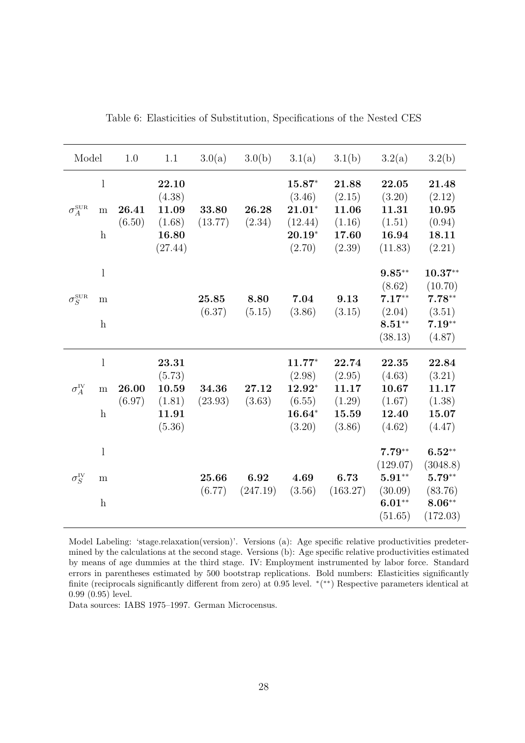| Model                               |                           | 1.0    | 1.1             | 3.0(a)  | 3.0(b)   | 3.1(a)              | 3.1(b)          | 3.2(a)              | 3.2(b)               |
|-------------------------------------|---------------------------|--------|-----------------|---------|----------|---------------------|-----------------|---------------------|----------------------|
|                                     | $\mathbf{l}$              |        | 22.10<br>(4.38) |         |          | $15.87*$<br>(3.46)  | 21.88<br>(2.15) | 22.05<br>(3.20)     | 21.48<br>(2.12)      |
| $\sigma^{\text{SUR}}_A$             | ${\bf m}$                 | 26.41  | 11.09           | 33.80   | 26.28    | $21.01*$            | 11.06           | 11.31               | 10.95                |
|                                     | $\mathbf{h}$              | (6.50) | (1.68)<br>16.80 | (13.77) | (2.34)   | (12.44)<br>$20.19*$ | (1.16)<br>17.60 | (1.51)<br>16.94     | (0.94)<br>18.11      |
|                                     |                           |        | (27.44)         |         |          | (2.70)              | (2.39)          | (11.83)             | (2.21)               |
|                                     | $\mathbf{l}$              |        |                 |         |          |                     |                 | $9.85***$<br>(8.62) | $10.37**$<br>(10.70) |
| $\sigma_S^{\textnormal{\tiny SUR}}$ | m                         |        |                 | 25.85   | 8.80     | 7.04                | 9.13            | $7.17**$            | $7.78**$             |
|                                     |                           |        |                 | (6.37)  | (5.15)   | (3.86)              | (3.15)          | (2.04)              | (3.51)               |
|                                     | $\boldsymbol{\mathrm{h}}$ |        |                 |         |          |                     |                 | $8.51***$           | $7.19**$             |
|                                     |                           |        |                 |         |          |                     |                 | (38.13)             | (4.87)               |
|                                     | $\mathbf{l}$              |        | 23.31           |         |          | 11.77*              | 22.74           | 22.35               | 22.84                |
|                                     |                           |        | (5.73)          |         |          | (2.98)              | (2.95)          | (4.63)              | (3.21)               |
| $\sigma^{\text{\tiny{IV}}}_A$       | ${\bf m}$                 | 26.00  | 10.59           | 34.36   | 27.12    | $12.92*$            | 11.17           | 10.67               | 11.17                |
|                                     |                           | (6.97) | (1.81)          | (23.93) | (3.63)   | (6.55)              | (1.29)          | (1.67)              | (1.38)               |
|                                     | $\mathbf{h}$              |        | 11.91           |         |          | $16.64*$            | 15.59           | 12.40               | 15.07                |
|                                     |                           |        | (5.36)          |         |          | (3.20)              | (3.86)          | (4.62)              | (4.47)               |
|                                     | $\mathbf{l}$              |        |                 |         |          |                     |                 | $7.79**$            | $6.52**$             |
|                                     |                           |        |                 |         |          |                     |                 | (129.07)            | (3048.8)             |
| $\sigma_S^{\text{IV}}$              | ${\bf m}$                 |        |                 | 25.66   | 6.92     | 4.69                | 6.73            | $5.91**$            | $5.79**$             |
|                                     |                           |        |                 | (6.77)  | (247.19) | (3.56)              | (163.27)        | (30.09)             | (83.76)              |
|                                     | $\,$ h                    |        |                 |         |          |                     |                 | $6.01**$            | $8.06**$             |
|                                     |                           |        |                 |         |          |                     |                 | (51.65)             | (172.03)             |

Table 6: Elasticities of Substitution, Specifications of the Nested CES

Model Labeling: 'stage.relaxation(version)'. Versions (a): Age specific relative productivities predetermined by the calculations at the second stage. Versions (b): Age specific relative productivities estimated by means of age dummies at the third stage. IV: Employment instrumented by labor force. Standard errors in parentheses estimated by 500 bootstrap replications. Bold numbers: Elasticities significantly finite (reciprocals significantly different from zero) at 0.95 level.  $*(*)$  Respective parameters identical at 0.99 (0.95) level.

Data sources: IABS 1975–1997. German Microcensus.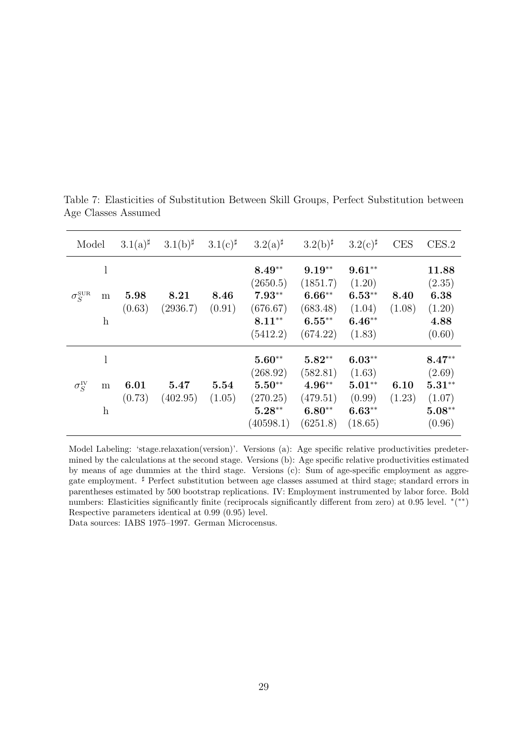| Model                         |                                                | $3.1(a)^{\sharp}$ | $3.1(b)$ <sup>#</sup> | 3.1(c)         | $3.2(a)^{\sharp}$                                                     | $3.2(b)$ <sup>#</sup>                                                 | $3.2(c)$ #                                                      | <b>CES</b>     | CES.2                                                          |
|-------------------------------|------------------------------------------------|-------------------|-----------------------|----------------|-----------------------------------------------------------------------|-----------------------------------------------------------------------|-----------------------------------------------------------------|----------------|----------------------------------------------------------------|
| $\sigma_S^{\textnormal{SUR}}$ | $\mathbf{I}$<br>m<br>$\boldsymbol{\mathrm{h}}$ | 5.98<br>(0.63)    | 8.21<br>(2936.7)      | 8.46<br>(0.91) | $8.49**$<br>(2650.5)<br>$7.93**$<br>(676.67)<br>$8.11***$<br>(5412.2) | $9.19**$<br>(1851.7)<br>$6.66**$<br>(683.48)<br>$6.55***$<br>(674.22) | $9.61**$<br>(1.20)<br>$6.53**$<br>(1.04)<br>$6.46**$<br>(1.83)  | 8.40<br>(1.08) | 11.88<br>(2.35)<br>6.38<br>(1.20)<br>4.88<br>(0.60)            |
| $\sigma_S^{\text{IV}}$        | m<br>$\boldsymbol{\mathrm{h}}$                 | 6.01<br>(0.73)    | 5.47<br>(402.95)      | 5.54<br>(1.05) | $5.60**$<br>(268.92)<br>$5.50**$<br>(270.25)<br>$5.28**$<br>(40598.1) | $5.82**$<br>(582.81)<br>$4.96**$<br>(479.51)<br>$6.80**$<br>(6251.8)  | $6.03**$<br>(1.63)<br>$5.01**$<br>(0.99)<br>$6.63**$<br>(18.65) | 6.10<br>(1.23) | $8.47**$<br>(2.69)<br>$5.31**$<br>(1.07)<br>$5.08**$<br>(0.96) |

Table 7: Elasticities of Substitution Between Skill Groups, Perfect Substitution between Age Classes Assumed

Model Labeling: 'stage.relaxation(version)'. Versions (a): Age specific relative productivities predetermined by the calculations at the second stage. Versions (b): Age specific relative productivities estimated by means of age dummies at the third stage. Versions (c): Sum of age-specific employment as aggregate employment. ] Perfect substitution between age classes assumed at third stage; standard errors in parentheses estimated by 500 bootstrap replications. IV: Employment instrumented by labor force. Bold numbers: Elasticities significantly finite (reciprocals significantly different from zero) at 0.95 level. \*(\*\*) Respective parameters identical at 0.99 (0.95) level.

Data sources: IABS 1975–1997. German Microcensus.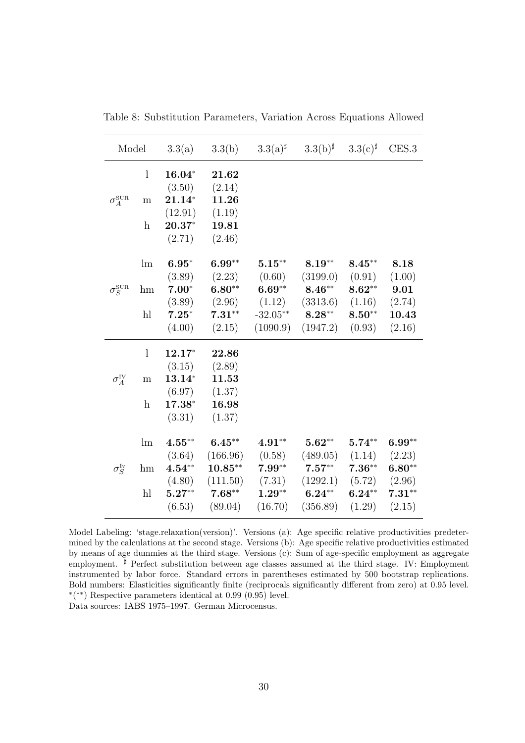| Model                         |                           |               | $3.3(a)$ $3.3(b)$  | $3.3(a)^{\sharp}$ | $3.3(b)^{\sharp}$ $3.3(c)^{\sharp}$ |           | CES.3    |
|-------------------------------|---------------------------|---------------|--------------------|-------------------|-------------------------------------|-----------|----------|
|                               | $\mathbf{l}$              | 16.04*        | 21.62              |                   |                                     |           |          |
|                               |                           | (3.50)        | (2.14)             |                   |                                     |           |          |
| $\sigma^{\text{SUR}}_A$       | m                         | $21.14*$      | 11.26              |                   |                                     |           |          |
|                               |                           | (12.91)       | (1.19)             |                   |                                     |           |          |
|                               | $\boldsymbol{\mathrm{h}}$ | $20.37*$      | 19.81              |                   |                                     |           |          |
|                               |                           | (2.71)        | (2.46)             |                   |                                     |           |          |
|                               | $\ln$                     | $6.95*$       | $6.99**$           | $5.15***$         | $8.19^{\ast\ast}$                   | $8.45***$ | 8.18     |
|                               |                           | (3.89)        | (2.23)             | (0.60)            | (3199.0)                            | (0.91)    | (1.00)   |
| $\sigma_S^{\textnormal{SUR}}$ | hm                        | $7.00^{\ast}$ | $6.80**$           | $6.69**$          | $\mathbf{8.46}^{**}$                | $8.62**$  | 9.01     |
|                               |                           | (3.89)        |                    | $(2.96)$ $(1.12)$ | $(3313.6)$ $(1.16)$                 |           | (2.74)   |
|                               | h                         | $7.25*$       | $7.31**$           | $-32.05**$        | $8.28^{\ast\ast}$                   | $8.50**$  | 10.43    |
|                               |                           | (4.00)        | (2.15)             | (1090.9)          | (1947.2)                            | (0.93)    | (2.16)   |
|                               | $\mathbf{l}$              | 12.17*        | 22.86              |                   |                                     |           |          |
|                               |                           | (3.15)        | (2.89)             |                   |                                     |           |          |
| $\sigma_A^{\text{\tiny{IV}}}$ | m                         | $13.14*$      | 11.53              |                   |                                     |           |          |
|                               |                           | (6.97)        | (1.37)             |                   |                                     |           |          |
|                               | $\boldsymbol{\mathrm{h}}$ | $17.38*$      | 16.98              |                   |                                     |           |          |
|                               |                           | (3.31)        | (1.37)             |                   |                                     |           |          |
|                               | $\ln$                     | $4.55***$     | $6.45**$           | $4.91**$          | $5.62^{\ast\ast}$                   | $5.74**$  | $6.99**$ |
|                               |                           | (3.64)        | (166.96)           | (0.58)            | $(489.05)$ $(1.14)$                 |           | (2.23)   |
| $\sigma_S^{\mathrm{Iv}}$      | hm                        | $4.54***$     | $10.85***$         | $7.99**$          | $7.57^{\ast\ast}$                   | $7.36**$  | $6.80**$ |
|                               |                           | (4.80)        | (111.50)           | (7.31)            | $(1292.1)$ $(5.72)$ $(2.96)$        |           |          |
|                               | h                         | $5.27**$      | $7.68^{\ast\ast}$  | $1.29**$          | $6.24^{\ast\ast}$                   | $6.24***$ | $7.31**$ |
|                               |                           |               | $(6.53)$ $(89.04)$ | (16.70)           | $(356.89)$ $(1.29)$                 |           | (2.15)   |
|                               |                           |               |                    |                   |                                     |           |          |

Table 8: Substitution Parameters, Variation Across Equations Allowed

Model Labeling: 'stage.relaxation(version)'. Versions (a): Age specific relative productivities predetermined by the calculations at the second stage. Versions (b): Age specific relative productivities estimated by means of age dummies at the third stage. Versions (c): Sum of age-specific employment as aggregate employment. <sup>#</sup> Perfect substitution between age classes assumed at the third stage. IV: Employment instrumented by labor force. Standard errors in parentheses estimated by 500 bootstrap replications. Bold numbers: Elasticities significantly finite (reciprocals significantly different from zero) at 0.95 level. ∗ ( ∗∗) Respective parameters identical at 0.99 (0.95) level. Data sources: IABS 1975–1997. German Microcensus.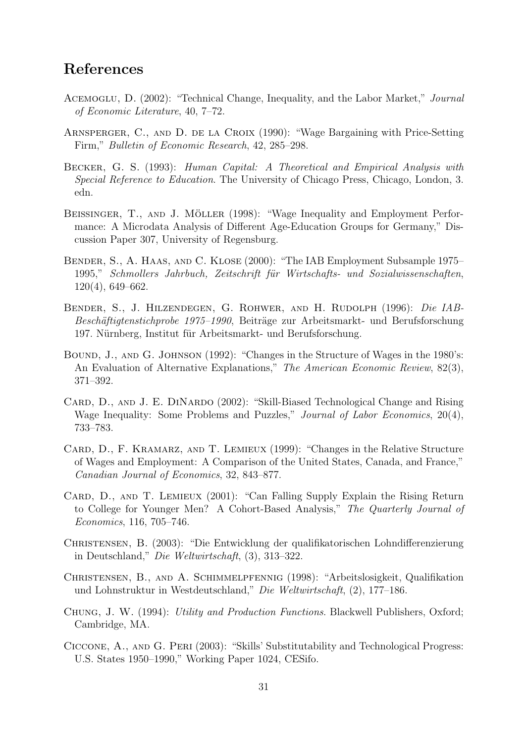## References

- Acemoglu, D. (2002): "Technical Change, Inequality, and the Labor Market," Journal of Economic Literature, 40, 7–72.
- Arnsperger, C., and D. de la Croix (1990): "Wage Bargaining with Price-Setting Firm," Bulletin of Economic Research, 42, 285–298.
- Becker, G. S. (1993): Human Capital: A Theoretical and Empirical Analysis with Special Reference to Education. The University of Chicago Press, Chicago, London, 3. edn.
- BEISSINGER, T., AND J. MÖLLER (1998): "Wage Inequality and Employment Performance: A Microdata Analysis of Different Age-Education Groups for Germany," Discussion Paper 307, University of Regensburg.
- Bender, S., A. Haas, and C. Klose (2000): "The IAB Employment Subsample 1975– 1995," Schmollers Jahrbuch, Zeitschrift für Wirtschafts- und Sozialwissenschaften, 120(4), 649–662.
- Bender, S., J. Hilzendegen, G. Rohwer, and H. Rudolph (1996): Die IAB-Beschäftigtenstichprobe 1975–1990, Beiträge zur Arbeitsmarkt- und Berufsforschung 197. Nürnberg, Institut für Arbeitsmarkt- und Berufsforschung.
- BOUND, J., AND G. JOHNSON (1992): "Changes in the Structure of Wages in the 1980's: An Evaluation of Alternative Explanations," The American Economic Review, 82(3), 371–392.
- CARD, D., AND J. E. DINARDO (2002): "Skill-Biased Technological Change and Rising Wage Inequality: Some Problems and Puzzles," Journal of Labor Economics, 20(4), 733–783.
- Card, D., F. Kramarz, and T. Lemieux (1999): "Changes in the Relative Structure of Wages and Employment: A Comparison of the United States, Canada, and France," Canadian Journal of Economics, 32, 843–877.
- CARD, D., AND T. LEMIEUX (2001): "Can Falling Supply Explain the Rising Return to College for Younger Men? A Cohort-Based Analysis," The Quarterly Journal of Economics, 116, 705–746.
- Christensen, B. (2003): "Die Entwicklung der qualifikatorischen Lohndifferenzierung in Deutschland," Die Weltwirtschaft, (3), 313–322.
- Christensen, B., and A. Schimmelpfennig (1998): "Arbeitslosigkeit, Qualifikation und Lohnstruktur in Westdeutschland," Die Weltwirtschaft, (2), 177–186.
- Chung, J. W. (1994): Utility and Production Functions. Blackwell Publishers, Oxford; Cambridge, MA.
- Ciccone, A., and G. Peri (2003): "Skills' Substitutability and Technological Progress: U.S. States 1950–1990," Working Paper 1024, CESifo.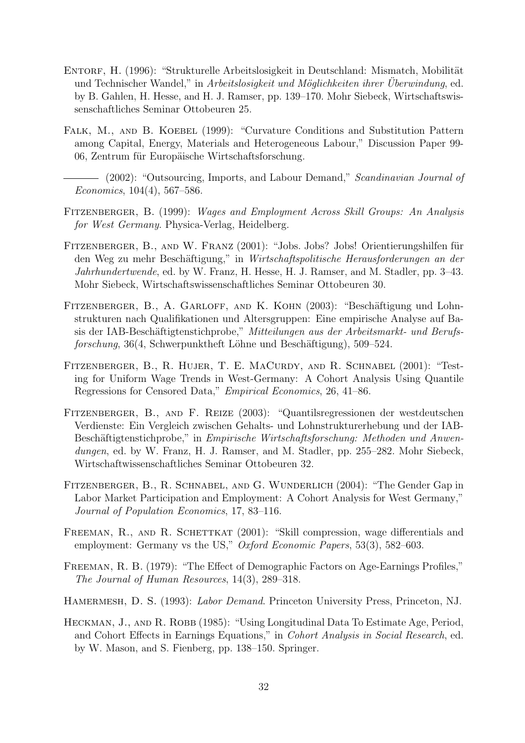- ENTORF, H. (1996): "Strukturelle Arbeitslosigkeit in Deutschland: Mismatch, Mobilität und Technischer Wandel," in Arbeitslosigkeit und Möglichkeiten ihrer Uberwindung, ed. by B. Gahlen, H. Hesse, and H. J. Ramser, pp. 139–170. Mohr Siebeck, Wirtschaftswissenschaftliches Seminar Ottobeuren 25.
- FALK, M., AND B. KOEBEL (1999): "Curvature Conditions and Substitution Pattern among Capital, Energy, Materials and Heterogeneous Labour," Discussion Paper 99- 06, Zentrum für Europäische Wirtschaftsforschung.
- (2002): "Outsourcing, Imports, and Labour Demand," Scandinavian Journal of Economics, 104(4), 567–586.
- Fitzenberger, B. (1999): Wages and Employment Across Skill Groups: An Analysis for West Germany. Physica-Verlag, Heidelberg.
- FITZENBERGER, B., AND W. FRANZ (2001): "Jobs. Jobs? Jobs! Orientierungshilfen für den Weg zu mehr Beschäftigung," in Wirtschaftspolitische Herausforderungen an der Jahrhundertwende, ed. by W. Franz, H. Hesse, H. J. Ramser, and M. Stadler, pp. 3–43. Mohr Siebeck, Wirtschaftswissenschaftliches Seminar Ottobeuren 30.
- FITZENBERGER, B., A. GARLOFF, AND K. KOHN (2003): "Beschäftigung und Lohnstrukturen nach Qualifikationen und Altersgruppen: Eine empirische Analyse auf Basis der IAB-Beschäftigtenstichprobe," Mitteilungen aus der Arbeitsmarkt- und Berufsforschung, 36(4, Schwerpunktheft Löhne und Beschäftigung), 509–524.
- Fitzenberger, B., R. Hujer, T. E. MaCurdy, and R. Schnabel (2001): "Testing for Uniform Wage Trends in West-Germany: A Cohort Analysis Using Quantile Regressions for Censored Data," Empirical Economics, 26, 41–86.
- Fitzenberger, B., and F. Reize (2003): "Quantilsregressionen der westdeutschen Verdienste: Ein Vergleich zwischen Gehalts- und Lohnstrukturerhebung und der IAB-Beschäftigtenstichprobe," in Empirische Wirtschaftsforschung: Methoden und Anwendungen, ed. by W. Franz, H. J. Ramser, and M. Stadler, pp. 255–282. Mohr Siebeck, Wirtschaftwissenschaftliches Seminar Ottobeuren 32.
- Fitzenberger, B., R. Schnabel, and G. Wunderlich (2004): "The Gender Gap in Labor Market Participation and Employment: A Cohort Analysis for West Germany," Journal of Population Economics, 17, 83–116.
- FREEMAN, R., AND R. SCHETTKAT (2001): "Skill compression, wage differentials and employment: Germany vs the US," Oxford Economic Papers, 53(3), 582–603.
- Freeman, R. B. (1979): "The Effect of Demographic Factors on Age-Earnings Profiles," The Journal of Human Resources, 14(3), 289–318.
- HAMERMESH, D. S. (1993): *Labor Demand*. Princeton University Press, Princeton, NJ.
- HECKMAN, J., AND R. ROBB (1985): "Using Longitudinal Data To Estimate Age, Period, and Cohort Effects in Earnings Equations," in Cohort Analysis in Social Research, ed. by W. Mason, and S. Fienberg, pp. 138–150. Springer.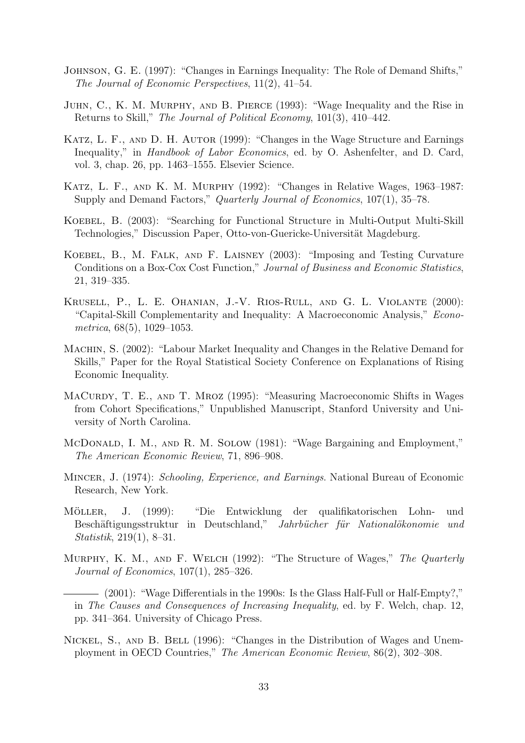- Johnson, G. E. (1997): "Changes in Earnings Inequality: The Role of Demand Shifts," The Journal of Economic Perspectives, 11(2), 41–54.
- Juhn, C., K. M. Murphy, and B. Pierce (1993): "Wage Inequality and the Rise in Returns to Skill," The Journal of Political Economy, 101(3), 410–442.
- KATZ, L. F., AND D. H. AUTOR (1999): "Changes in the Wage Structure and Earnings Inequality," in Handbook of Labor Economics, ed. by O. Ashenfelter, and D. Card, vol. 3, chap. 26, pp. 1463–1555. Elsevier Science.
- Katz, L. F., and K. M. Murphy (1992): "Changes in Relative Wages, 1963–1987: Supply and Demand Factors," *Quarterly Journal of Economics*, 107(1), 35–78.
- KOEBEL, B. (2003): "Searching for Functional Structure in Multi-Output Multi-Skill Technologies," Discussion Paper, Otto-von-Guericke-Universität Magdeburg.
- Koebel, B., M. Falk, and F. Laisney (2003): "Imposing and Testing Curvature Conditions on a Box-Cox Cost Function," Journal of Business and Economic Statistics, 21, 319–335.
- Krusell, P., L. E. Ohanian, J.-V. Rios-Rull, and G. L. Violante (2000): "Capital-Skill Complementarity and Inequality: A Macroeconomic Analysis," Econometrica, 68(5), 1029–1053.
- Machin, S. (2002): "Labour Market Inequality and Changes in the Relative Demand for Skills," Paper for the Royal Statistical Society Conference on Explanations of Rising Economic Inequality.
- MaCurdy, T. E., and T. Mroz (1995): "Measuring Macroeconomic Shifts in Wages from Cohort Specifications," Unpublished Manuscript, Stanford University and University of North Carolina.
- McDonald, I. M., and R. M. Solow (1981): "Wage Bargaining and Employment," The American Economic Review, 71, 896–908.
- Mincer, J. (1974): Schooling, Experience, and Earnings. National Bureau of Economic Research, New York.
- MÖLLER, J. (1999): "Die Entwicklung der qualifikatorischen Lohn- und Beschäftigungsstruktur in Deutschland," Jahrbücher für Nationalökonomie und Statistik, 219(1), 8–31.
- Murphy, K. M., and F. Welch (1992): "The Structure of Wages," The Quarterly Journal of Economics, 107(1), 285–326.
- (2001): "Wage Differentials in the 1990s: Is the Glass Half-Full or Half-Empty?," in The Causes and Consequences of Increasing Inequality, ed. by F. Welch, chap. 12, pp. 341–364. University of Chicago Press.
- Nickel, S., and B. Bell (1996): "Changes in the Distribution of Wages and Unemployment in OECD Countries," The American Economic Review, 86(2), 302–308.